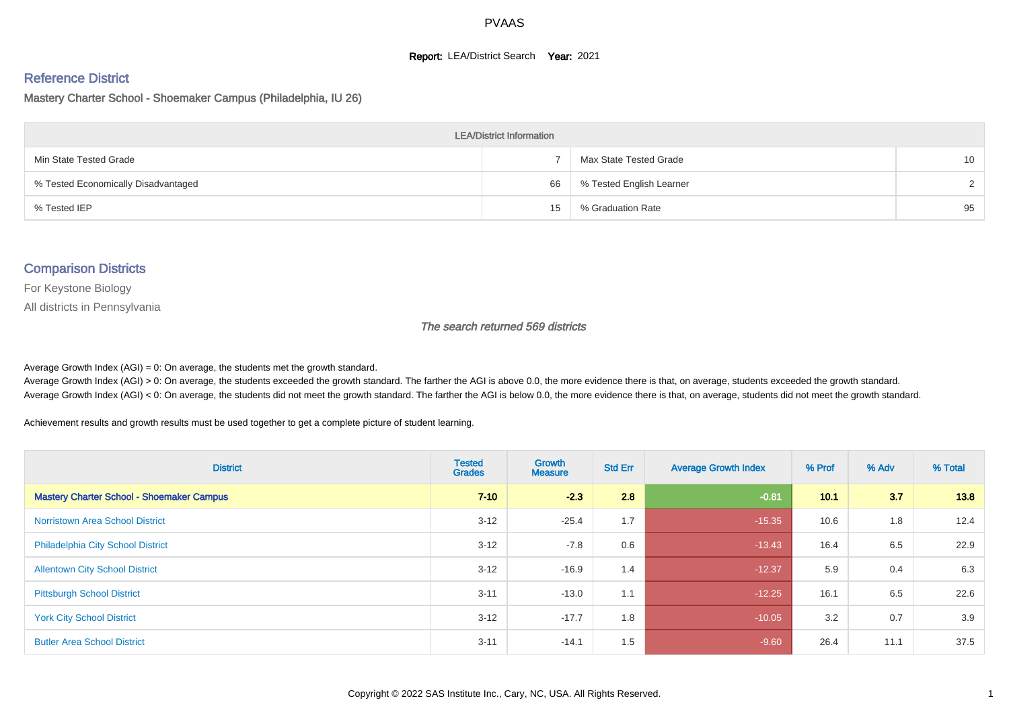#### **Report: LEA/District Search Year: 2021**

# Reference District

Mastery Charter School - Shoemaker Campus (Philadelphia, IU 26)

| <b>LEA/District Information</b>     |    |                          |                 |  |  |  |  |  |  |  |
|-------------------------------------|----|--------------------------|-----------------|--|--|--|--|--|--|--|
| Min State Tested Grade              |    | Max State Tested Grade   | 10 <sup>1</sup> |  |  |  |  |  |  |  |
| % Tested Economically Disadvantaged | 66 | % Tested English Learner | $\mathcal{D}$   |  |  |  |  |  |  |  |
| % Tested IEP                        | 15 | % Graduation Rate        | 95              |  |  |  |  |  |  |  |

#### Comparison Districts

For Keystone Biology

All districts in Pennsylvania

The search returned 569 districts

Average Growth Index  $(AGI) = 0$ : On average, the students met the growth standard.

Average Growth Index (AGI) > 0: On average, the students exceeded the growth standard. The farther the AGI is above 0.0, the more evidence there is that, on average, students exceeded the growth standard. Average Growth Index (AGI) < 0: On average, the students did not meet the growth standard. The farther the AGI is below 0.0, the more evidence there is that, on average, students did not meet the growth standard.

Achievement results and growth results must be used together to get a complete picture of student learning.

| <b>District</b>                                  | <b>Tested</b><br><b>Grades</b> | <b>Growth</b><br><b>Measure</b> | <b>Std Err</b> | <b>Average Growth Index</b> | % Prof | % Adv | % Total |
|--------------------------------------------------|--------------------------------|---------------------------------|----------------|-----------------------------|--------|-------|---------|
| <b>Mastery Charter School - Shoemaker Campus</b> | $7 - 10$                       | $-2.3$                          | 2.8            | $-0.81$                     | 10.1   | 3.7   | 13.8    |
| <b>Norristown Area School District</b>           | $3 - 12$                       | $-25.4$                         | 1.7            | $-15.35$                    | 10.6   | 1.8   | 12.4    |
| <b>Philadelphia City School District</b>         | $3 - 12$                       | $-7.8$                          | 0.6            | $-13.43$                    | 16.4   | 6.5   | 22.9    |
| <b>Allentown City School District</b>            | $3 - 12$                       | $-16.9$                         | 1.4            | $-12.37$                    | 5.9    | 0.4   | 6.3     |
| <b>Pittsburgh School District</b>                | $3 - 11$                       | $-13.0$                         | 1.1            | $-12.25$                    | 16.1   | 6.5   | 22.6    |
| <b>York City School District</b>                 | $3 - 12$                       | $-17.7$                         | 1.8            | $-10.05$                    | 3.2    | 0.7   | 3.9     |
| <b>Butler Area School District</b>               | $3 - 11$                       | $-14.1$                         | 1.5            | $-9.60$                     | 26.4   | 11.1  | 37.5    |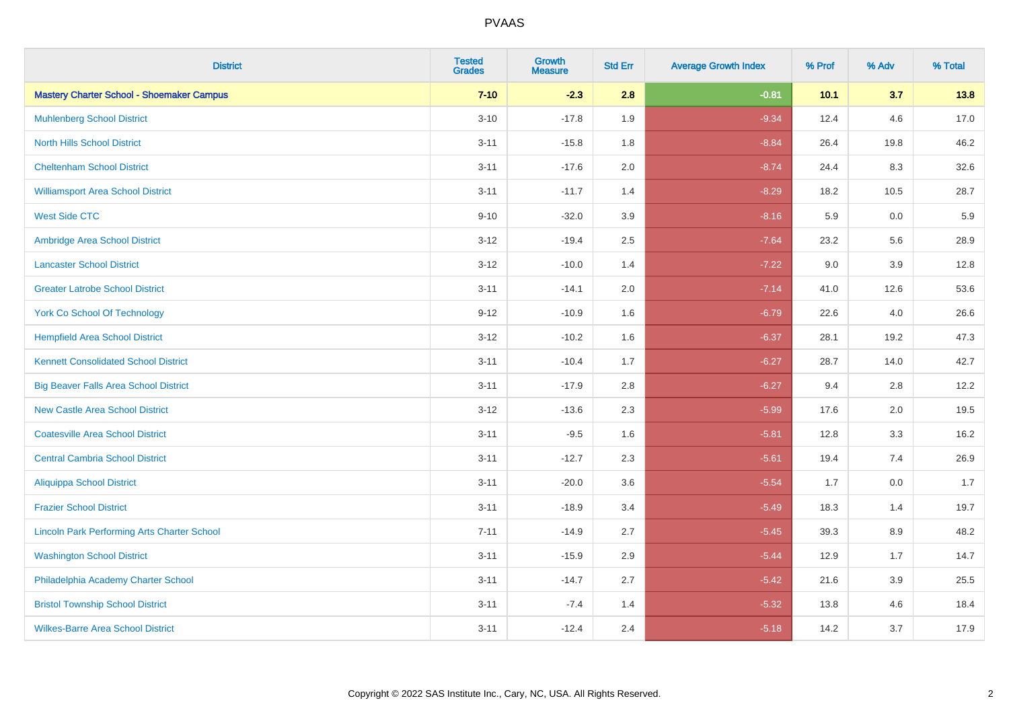| <b>District</b>                                    | <b>Tested</b><br><b>Grades</b> | <b>Growth</b><br><b>Measure</b> | <b>Std Err</b> | <b>Average Growth Index</b> | % Prof | % Adv | % Total |
|----------------------------------------------------|--------------------------------|---------------------------------|----------------|-----------------------------|--------|-------|---------|
| <b>Mastery Charter School - Shoemaker Campus</b>   | $7 - 10$                       | $-2.3$                          | 2.8            | $-0.81$                     | 10.1   | 3.7   | 13.8    |
| <b>Muhlenberg School District</b>                  | $3 - 10$                       | $-17.8$                         | 1.9            | $-9.34$                     | 12.4   | 4.6   | 17.0    |
| <b>North Hills School District</b>                 | $3 - 11$                       | $-15.8$                         | 1.8            | $-8.84$                     | 26.4   | 19.8  | 46.2    |
| <b>Cheltenham School District</b>                  | $3 - 11$                       | $-17.6$                         | 2.0            | $-8.74$                     | 24.4   | 8.3   | 32.6    |
| <b>Williamsport Area School District</b>           | $3 - 11$                       | $-11.7$                         | 1.4            | $-8.29$                     | 18.2   | 10.5  | 28.7    |
| <b>West Side CTC</b>                               | $9 - 10$                       | $-32.0$                         | 3.9            | $-8.16$                     | 5.9    | 0.0   | 5.9     |
| Ambridge Area School District                      | $3 - 12$                       | $-19.4$                         | 2.5            | $-7.64$                     | 23.2   | 5.6   | 28.9    |
| <b>Lancaster School District</b>                   | $3 - 12$                       | $-10.0$                         | 1.4            | $-7.22$                     | 9.0    | 3.9   | 12.8    |
| <b>Greater Latrobe School District</b>             | $3 - 11$                       | $-14.1$                         | 2.0            | $-7.14$                     | 41.0   | 12.6  | 53.6    |
| <b>York Co School Of Technology</b>                | $9 - 12$                       | $-10.9$                         | 1.6            | $-6.79$                     | 22.6   | 4.0   | 26.6    |
| <b>Hempfield Area School District</b>              | $3 - 12$                       | $-10.2$                         | 1.6            | $-6.37$                     | 28.1   | 19.2  | 47.3    |
| <b>Kennett Consolidated School District</b>        | $3 - 11$                       | $-10.4$                         | 1.7            | $-6.27$                     | 28.7   | 14.0  | 42.7    |
| <b>Big Beaver Falls Area School District</b>       | $3 - 11$                       | $-17.9$                         | $2.8\,$        | $-6.27$                     | 9.4    | 2.8   | 12.2    |
| <b>New Castle Area School District</b>             | $3 - 12$                       | $-13.6$                         | 2.3            | $-5.99$                     | 17.6   | 2.0   | 19.5    |
| <b>Coatesville Area School District</b>            | $3 - 11$                       | $-9.5$                          | 1.6            | $-5.81$                     | 12.8   | 3.3   | 16.2    |
| <b>Central Cambria School District</b>             | $3 - 11$                       | $-12.7$                         | 2.3            | $-5.61$                     | 19.4   | 7.4   | 26.9    |
| <b>Aliquippa School District</b>                   | $3 - 11$                       | $-20.0$                         | 3.6            | $-5.54$                     | 1.7    | 0.0   | 1.7     |
| <b>Frazier School District</b>                     | $3 - 11$                       | $-18.9$                         | 3.4            | $-5.49$                     | 18.3   | 1.4   | 19.7    |
| <b>Lincoln Park Performing Arts Charter School</b> | $7 - 11$                       | $-14.9$                         | 2.7            | $-5.45$                     | 39.3   | 8.9   | 48.2    |
| <b>Washington School District</b>                  | $3 - 11$                       | $-15.9$                         | 2.9            | $-5.44$                     | 12.9   | 1.7   | 14.7    |
| Philadelphia Academy Charter School                | $3 - 11$                       | $-14.7$                         | 2.7            | $-5.42$                     | 21.6   | 3.9   | 25.5    |
| <b>Bristol Township School District</b>            | $3 - 11$                       | $-7.4$                          | 1.4            | $-5.32$                     | 13.8   | 4.6   | 18.4    |
| <b>Wilkes-Barre Area School District</b>           | $3 - 11$                       | $-12.4$                         | 2.4            | $-5.18$                     | 14.2   | 3.7   | 17.9    |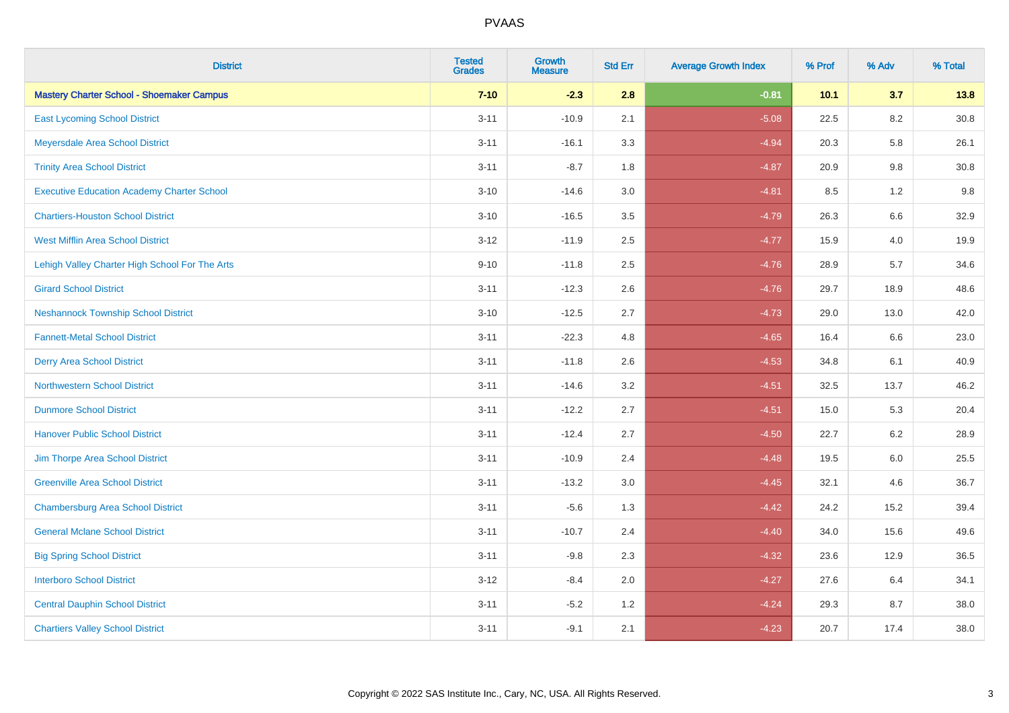| <b>District</b>                                   | <b>Tested</b><br><b>Grades</b> | <b>Growth</b><br><b>Measure</b> | <b>Std Err</b> | <b>Average Growth Index</b> | % Prof | % Adv   | % Total  |
|---------------------------------------------------|--------------------------------|---------------------------------|----------------|-----------------------------|--------|---------|----------|
| <b>Mastery Charter School - Shoemaker Campus</b>  | $7 - 10$                       | $-2.3$                          | 2.8            | $-0.81$                     | 10.1   | 3.7     | 13.8     |
| <b>East Lycoming School District</b>              | $3 - 11$                       | $-10.9$                         | 2.1            | $-5.08$                     | 22.5   | 8.2     | $30.8\,$ |
| Meyersdale Area School District                   | $3 - 11$                       | $-16.1$                         | 3.3            | $-4.94$                     | 20.3   | 5.8     | 26.1     |
| <b>Trinity Area School District</b>               | $3 - 11$                       | $-8.7$                          | 1.8            | $-4.87$                     | 20.9   | 9.8     | 30.8     |
| <b>Executive Education Academy Charter School</b> | $3 - 10$                       | $-14.6$                         | 3.0            | $-4.81$                     | 8.5    | 1.2     | 9.8      |
| <b>Chartiers-Houston School District</b>          | $3 - 10$                       | $-16.5$                         | 3.5            | $-4.79$                     | 26.3   | 6.6     | 32.9     |
| <b>West Mifflin Area School District</b>          | $3 - 12$                       | $-11.9$                         | 2.5            | $-4.77$                     | 15.9   | 4.0     | 19.9     |
| Lehigh Valley Charter High School For The Arts    | $9 - 10$                       | $-11.8$                         | 2.5            | $-4.76$                     | 28.9   | 5.7     | 34.6     |
| <b>Girard School District</b>                     | $3 - 11$                       | $-12.3$                         | 2.6            | $-4.76$                     | 29.7   | 18.9    | 48.6     |
| <b>Neshannock Township School District</b>        | $3 - 10$                       | $-12.5$                         | 2.7            | $-4.73$                     | 29.0   | 13.0    | 42.0     |
| <b>Fannett-Metal School District</b>              | $3 - 11$                       | $-22.3$                         | 4.8            | $-4.65$                     | 16.4   | 6.6     | 23.0     |
| <b>Derry Area School District</b>                 | $3 - 11$                       | $-11.8$                         | 2.6            | $-4.53$                     | 34.8   | 6.1     | 40.9     |
| <b>Northwestern School District</b>               | $3 - 11$                       | $-14.6$                         | 3.2            | $-4.51$                     | 32.5   | 13.7    | 46.2     |
| <b>Dunmore School District</b>                    | $3 - 11$                       | $-12.2$                         | 2.7            | $-4.51$                     | 15.0   | 5.3     | 20.4     |
| <b>Hanover Public School District</b>             | $3 - 11$                       | $-12.4$                         | 2.7            | $-4.50$                     | 22.7   | 6.2     | 28.9     |
| Jim Thorpe Area School District                   | $3 - 11$                       | $-10.9$                         | 2.4            | $-4.48$                     | 19.5   | $6.0\,$ | 25.5     |
| <b>Greenville Area School District</b>            | $3 - 11$                       | $-13.2$                         | 3.0            | $-4.45$                     | 32.1   | 4.6     | 36.7     |
| <b>Chambersburg Area School District</b>          | $3 - 11$                       | $-5.6$                          | 1.3            | $-4.42$                     | 24.2   | 15.2    | 39.4     |
| <b>General Mclane School District</b>             | $3 - 11$                       | $-10.7$                         | 2.4            | $-4.40$                     | 34.0   | 15.6    | 49.6     |
| <b>Big Spring School District</b>                 | $3 - 11$                       | $-9.8$                          | 2.3            | $-4.32$                     | 23.6   | 12.9    | 36.5     |
| <b>Interboro School District</b>                  | $3 - 12$                       | $-8.4$                          | 2.0            | $-4.27$                     | 27.6   | 6.4     | 34.1     |
| <b>Central Dauphin School District</b>            | $3 - 11$                       | $-5.2$                          | 1.2            | $-4.24$                     | 29.3   | 8.7     | 38.0     |
| <b>Chartiers Valley School District</b>           | $3 - 11$                       | $-9.1$                          | 2.1            | $-4.23$                     | 20.7   | 17.4    | 38.0     |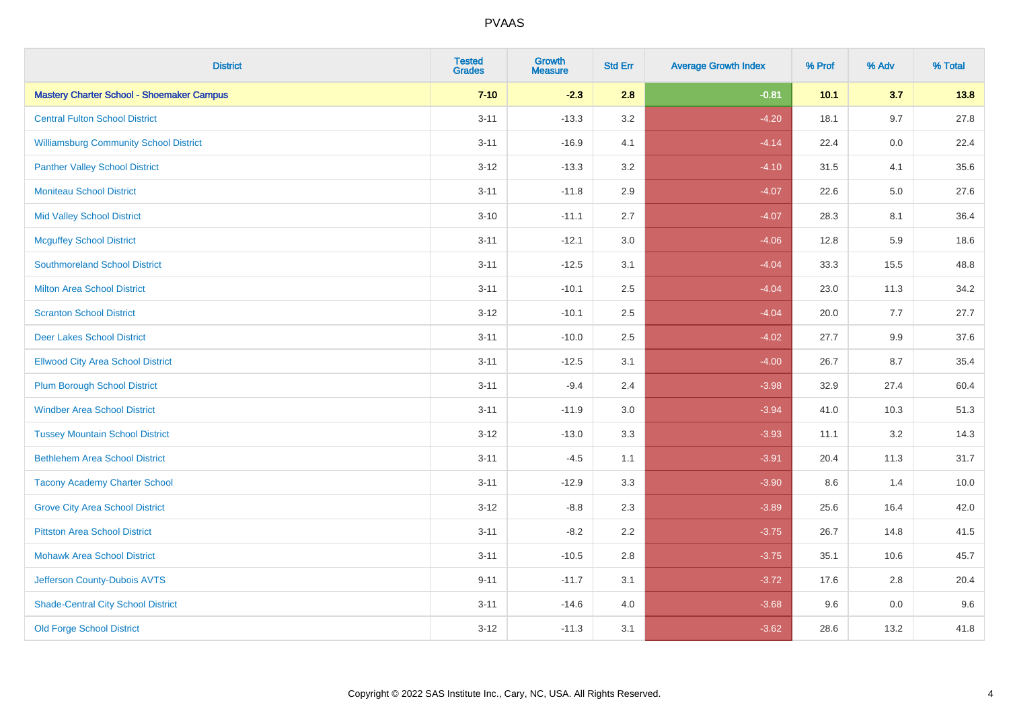| <b>District</b>                                  | <b>Tested</b><br><b>Grades</b> | <b>Growth</b><br><b>Measure</b> | <b>Std Err</b> | <b>Average Growth Index</b> | % Prof | % Adv   | % Total |
|--------------------------------------------------|--------------------------------|---------------------------------|----------------|-----------------------------|--------|---------|---------|
| <b>Mastery Charter School - Shoemaker Campus</b> | $7 - 10$                       | $-2.3$                          | 2.8            | $-0.81$                     | 10.1   | 3.7     | 13.8    |
| <b>Central Fulton School District</b>            | $3 - 11$                       | $-13.3$                         | 3.2            | $-4.20$                     | 18.1   | 9.7     | 27.8    |
| <b>Williamsburg Community School District</b>    | $3 - 11$                       | $-16.9$                         | 4.1            | $-4.14$                     | 22.4   | 0.0     | 22.4    |
| <b>Panther Valley School District</b>            | $3 - 12$                       | $-13.3$                         | 3.2            | $-4.10$                     | 31.5   | 4.1     | 35.6    |
| <b>Moniteau School District</b>                  | $3 - 11$                       | $-11.8$                         | 2.9            | $-4.07$                     | 22.6   | 5.0     | 27.6    |
| <b>Mid Valley School District</b>                | $3 - 10$                       | $-11.1$                         | 2.7            | $-4.07$                     | 28.3   | 8.1     | 36.4    |
| <b>Mcguffey School District</b>                  | $3 - 11$                       | $-12.1$                         | 3.0            | $-4.06$                     | 12.8   | 5.9     | 18.6    |
| <b>Southmoreland School District</b>             | $3 - 11$                       | $-12.5$                         | 3.1            | $-4.04$                     | 33.3   | 15.5    | 48.8    |
| <b>Milton Area School District</b>               | $3 - 11$                       | $-10.1$                         | 2.5            | $-4.04$                     | 23.0   | 11.3    | 34.2    |
| <b>Scranton School District</b>                  | $3 - 12$                       | $-10.1$                         | $2.5\,$        | $-4.04$                     | 20.0   | 7.7     | 27.7    |
| <b>Deer Lakes School District</b>                | $3 - 11$                       | $-10.0$                         | 2.5            | $-4.02$                     | 27.7   | 9.9     | 37.6    |
| <b>Ellwood City Area School District</b>         | $3 - 11$                       | $-12.5$                         | 3.1            | $-4.00$                     | 26.7   | 8.7     | 35.4    |
| <b>Plum Borough School District</b>              | $3 - 11$                       | $-9.4$                          | 2.4            | $-3.98$                     | 32.9   | 27.4    | 60.4    |
| <b>Windber Area School District</b>              | $3 - 11$                       | $-11.9$                         | 3.0            | $-3.94$                     | 41.0   | 10.3    | 51.3    |
| <b>Tussey Mountain School District</b>           | $3 - 12$                       | $-13.0$                         | 3.3            | $-3.93$                     | 11.1   | 3.2     | 14.3    |
| <b>Bethlehem Area School District</b>            | $3 - 11$                       | $-4.5$                          | 1.1            | $-3.91$                     | 20.4   | 11.3    | 31.7    |
| <b>Tacony Academy Charter School</b>             | $3 - 11$                       | $-12.9$                         | 3.3            | $-3.90$                     | 8.6    | 1.4     | 10.0    |
| <b>Grove City Area School District</b>           | $3 - 12$                       | $-8.8$                          | 2.3            | $-3.89$                     | 25.6   | 16.4    | 42.0    |
| <b>Pittston Area School District</b>             | $3 - 11$                       | $-8.2$                          | 2.2            | $-3.75$                     | 26.7   | 14.8    | 41.5    |
| <b>Mohawk Area School District</b>               | $3 - 11$                       | $-10.5$                         | 2.8            | $-3.75$                     | 35.1   | 10.6    | 45.7    |
| Jefferson County-Dubois AVTS                     | $9 - 11$                       | $-11.7$                         | 3.1            | $-3.72$                     | 17.6   | 2.8     | 20.4    |
| <b>Shade-Central City School District</b>        | $3 - 11$                       | $-14.6$                         | 4.0            | $-3.68$                     | 9.6    | $0.0\,$ | 9.6     |
| <b>Old Forge School District</b>                 | $3 - 12$                       | $-11.3$                         | 3.1            | $-3.62$                     | 28.6   | 13.2    | 41.8    |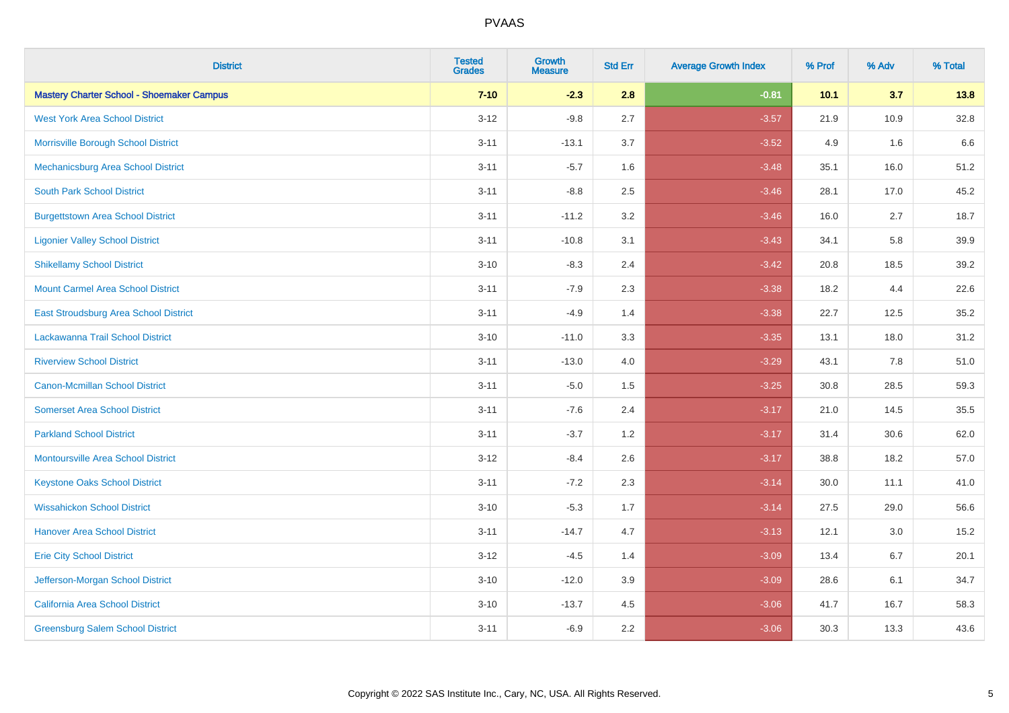| <b>District</b>                                  | <b>Tested</b><br><b>Grades</b> | <b>Growth</b><br><b>Measure</b> | <b>Std Err</b> | <b>Average Growth Index</b> | % Prof | % Adv | % Total |
|--------------------------------------------------|--------------------------------|---------------------------------|----------------|-----------------------------|--------|-------|---------|
| <b>Mastery Charter School - Shoemaker Campus</b> | $7 - 10$                       | $-2.3$                          | 2.8            | $-0.81$                     | 10.1   | 3.7   | 13.8    |
| <b>West York Area School District</b>            | $3 - 12$                       | $-9.8$                          | 2.7            | $-3.57$                     | 21.9   | 10.9  | 32.8    |
| Morrisville Borough School District              | $3 - 11$                       | $-13.1$                         | 3.7            | $-3.52$                     | 4.9    | 1.6   | 6.6     |
| Mechanicsburg Area School District               | $3 - 11$                       | $-5.7$                          | 1.6            | $-3.48$                     | 35.1   | 16.0  | 51.2    |
| <b>South Park School District</b>                | $3 - 11$                       | $-8.8$                          | 2.5            | $-3.46$                     | 28.1   | 17.0  | 45.2    |
| <b>Burgettstown Area School District</b>         | $3 - 11$                       | $-11.2$                         | 3.2            | $-3.46$                     | 16.0   | 2.7   | 18.7    |
| <b>Ligonier Valley School District</b>           | $3 - 11$                       | $-10.8$                         | 3.1            | $-3.43$                     | 34.1   | 5.8   | 39.9    |
| <b>Shikellamy School District</b>                | $3 - 10$                       | $-8.3$                          | 2.4            | $-3.42$                     | 20.8   | 18.5  | 39.2    |
| <b>Mount Carmel Area School District</b>         | $3 - 11$                       | $-7.9$                          | 2.3            | $-3.38$                     | 18.2   | 4.4   | 22.6    |
| East Stroudsburg Area School District            | $3 - 11$                       | $-4.9$                          | 1.4            | $-3.38$                     | 22.7   | 12.5  | 35.2    |
| Lackawanna Trail School District                 | $3 - 10$                       | $-11.0$                         | 3.3            | $-3.35$                     | 13.1   | 18.0  | 31.2    |
| <b>Riverview School District</b>                 | $3 - 11$                       | $-13.0$                         | 4.0            | $-3.29$                     | 43.1   | 7.8   | 51.0    |
| Canon-Mcmillan School District                   | $3 - 11$                       | $-5.0$                          | 1.5            | $-3.25$                     | 30.8   | 28.5  | 59.3    |
| <b>Somerset Area School District</b>             | $3 - 11$                       | $-7.6$                          | 2.4            | $-3.17$                     | 21.0   | 14.5  | 35.5    |
| <b>Parkland School District</b>                  | $3 - 11$                       | $-3.7$                          | 1.2            | $-3.17$                     | 31.4   | 30.6  | 62.0    |
| <b>Montoursville Area School District</b>        | $3 - 12$                       | $-8.4$                          | 2.6            | $-3.17$                     | 38.8   | 18.2  | 57.0    |
| <b>Keystone Oaks School District</b>             | $3 - 11$                       | $-7.2$                          | 2.3            | $-3.14$                     | 30.0   | 11.1  | 41.0    |
| <b>Wissahickon School District</b>               | $3 - 10$                       | $-5.3$                          | 1.7            | $-3.14$                     | 27.5   | 29.0  | 56.6    |
| <b>Hanover Area School District</b>              | $3 - 11$                       | $-14.7$                         | 4.7            | $-3.13$                     | 12.1   | 3.0   | 15.2    |
| <b>Erie City School District</b>                 | $3 - 12$                       | $-4.5$                          | 1.4            | $-3.09$                     | 13.4   | 6.7   | 20.1    |
| Jefferson-Morgan School District                 | $3 - 10$                       | $-12.0$                         | 3.9            | $-3.09$                     | 28.6   | 6.1   | 34.7    |
| California Area School District                  | $3 - 10$                       | $-13.7$                         | 4.5            | $-3.06$                     | 41.7   | 16.7  | 58.3    |
| <b>Greensburg Salem School District</b>          | $3 - 11$                       | $-6.9$                          | 2.2            | $-3.06$                     | 30.3   | 13.3  | 43.6    |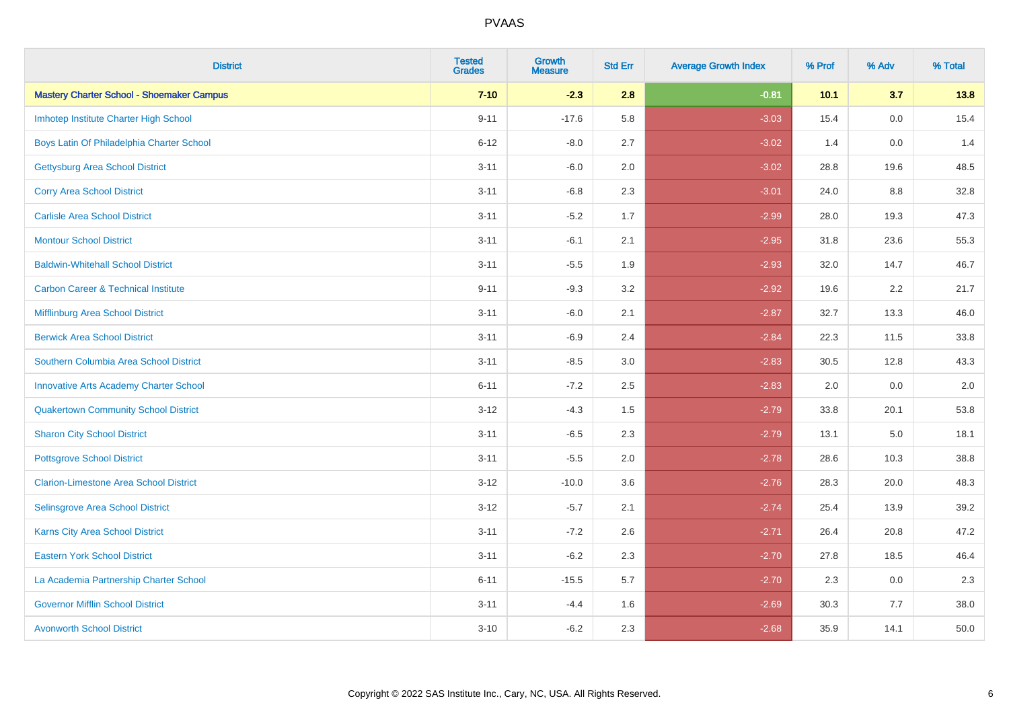| <b>District</b>                                  | <b>Tested</b><br><b>Grades</b> | <b>Growth</b><br><b>Measure</b> | <b>Std Err</b> | <b>Average Growth Index</b> | % Prof | % Adv | % Total |
|--------------------------------------------------|--------------------------------|---------------------------------|----------------|-----------------------------|--------|-------|---------|
| <b>Mastery Charter School - Shoemaker Campus</b> | $7 - 10$                       | $-2.3$                          | 2.8            | $-0.81$                     | 10.1   | 3.7   | 13.8    |
| Imhotep Institute Charter High School            | $9 - 11$                       | $-17.6$                         | 5.8            | $-3.03$                     | 15.4   | 0.0   | 15.4    |
| Boys Latin Of Philadelphia Charter School        | $6 - 12$                       | $-8.0$                          | 2.7            | $-3.02$                     | 1.4    | 0.0   | 1.4     |
| <b>Gettysburg Area School District</b>           | $3 - 11$                       | $-6.0$                          | 2.0            | $-3.02$                     | 28.8   | 19.6  | 48.5    |
| <b>Corry Area School District</b>                | $3 - 11$                       | $-6.8$                          | 2.3            | $-3.01$                     | 24.0   | 8.8   | 32.8    |
| <b>Carlisle Area School District</b>             | $3 - 11$                       | $-5.2$                          | 1.7            | $-2.99$                     | 28.0   | 19.3  | 47.3    |
| <b>Montour School District</b>                   | $3 - 11$                       | $-6.1$                          | 2.1            | $-2.95$                     | 31.8   | 23.6  | 55.3    |
| <b>Baldwin-Whitehall School District</b>         | $3 - 11$                       | $-5.5$                          | 1.9            | $-2.93$                     | 32.0   | 14.7  | 46.7    |
| <b>Carbon Career &amp; Technical Institute</b>   | $9 - 11$                       | $-9.3$                          | 3.2            | $-2.92$                     | 19.6   | 2.2   | 21.7    |
| <b>Mifflinburg Area School District</b>          | $3 - 11$                       | $-6.0$                          | 2.1            | $-2.87$                     | 32.7   | 13.3  | 46.0    |
| <b>Berwick Area School District</b>              | $3 - 11$                       | $-6.9$                          | 2.4            | $-2.84$                     | 22.3   | 11.5  | 33.8    |
| Southern Columbia Area School District           | $3 - 11$                       | $-8.5$                          | 3.0            | $-2.83$                     | 30.5   | 12.8  | 43.3    |
| <b>Innovative Arts Academy Charter School</b>    | $6 - 11$                       | $-7.2$                          | 2.5            | $-2.83$                     | 2.0    | 0.0   | $2.0\,$ |
| <b>Quakertown Community School District</b>      | $3 - 12$                       | $-4.3$                          | $1.5$          | $-2.79$                     | 33.8   | 20.1  | 53.8    |
| <b>Sharon City School District</b>               | $3 - 11$                       | $-6.5$                          | 2.3            | $-2.79$                     | 13.1   | 5.0   | 18.1    |
| <b>Pottsgrove School District</b>                | $3 - 11$                       | $-5.5$                          | 2.0            | $-2.78$                     | 28.6   | 10.3  | 38.8    |
| <b>Clarion-Limestone Area School District</b>    | $3 - 12$                       | $-10.0$                         | 3.6            | $-2.76$                     | 28.3   | 20.0  | 48.3    |
| Selinsgrove Area School District                 | $3 - 12$                       | $-5.7$                          | 2.1            | $-2.74$                     | 25.4   | 13.9  | 39.2    |
| <b>Karns City Area School District</b>           | $3 - 11$                       | $-7.2$                          | 2.6            | $-2.71$                     | 26.4   | 20.8  | 47.2    |
| <b>Eastern York School District</b>              | $3 - 11$                       | $-6.2$                          | 2.3            | $-2.70$                     | 27.8   | 18.5  | 46.4    |
| La Academia Partnership Charter School           | $6 - 11$                       | $-15.5$                         | 5.7            | $-2.70$                     | 2.3    | 0.0   | 2.3     |
| <b>Governor Mifflin School District</b>          | $3 - 11$                       | $-4.4$                          | 1.6            | $-2.69$                     | 30.3   | 7.7   | 38.0    |
| <b>Avonworth School District</b>                 | $3 - 10$                       | $-6.2$                          | 2.3            | $-2.68$                     | 35.9   | 14.1  | 50.0    |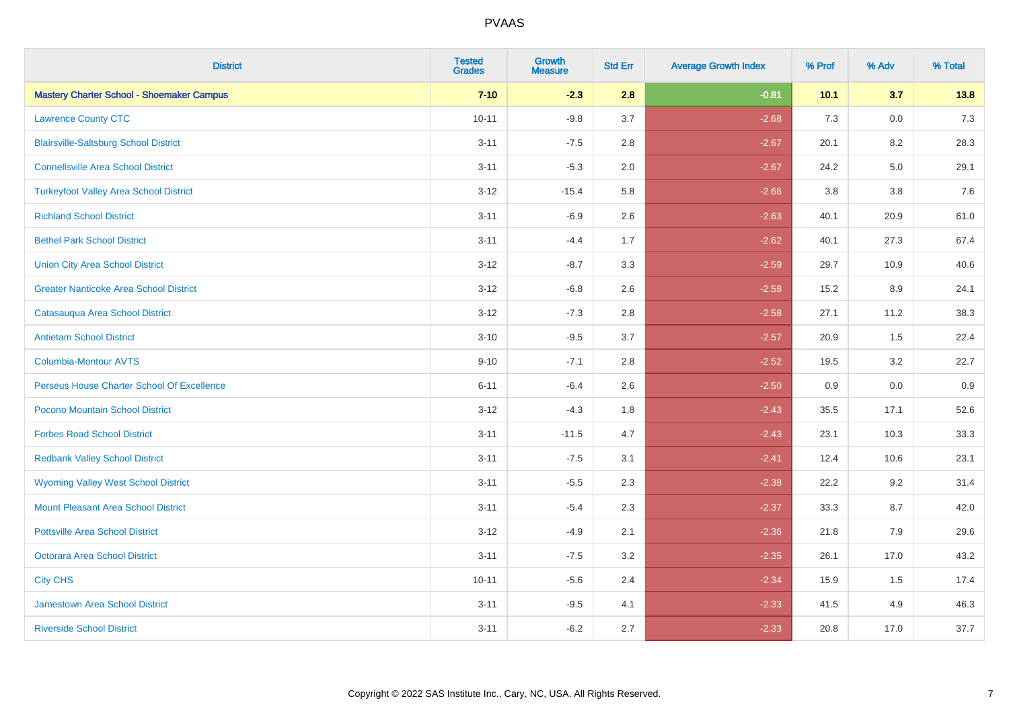| <b>District</b>                                  | <b>Tested</b><br><b>Grades</b> | <b>Growth</b><br><b>Measure</b> | <b>Std Err</b> | <b>Average Growth Index</b> | % Prof | % Adv | % Total |
|--------------------------------------------------|--------------------------------|---------------------------------|----------------|-----------------------------|--------|-------|---------|
| <b>Mastery Charter School - Shoemaker Campus</b> | $7 - 10$                       | $-2.3$                          | 2.8            | $-0.81$                     | 10.1   | 3.7   | 13.8    |
| <b>Lawrence County CTC</b>                       | $10 - 11$                      | $-9.8$                          | 3.7            | $-2.68$                     | 7.3    | 0.0   | $7.3$   |
| <b>Blairsville-Saltsburg School District</b>     | $3 - 11$                       | $-7.5$                          | 2.8            | $-2.67$                     | 20.1   | 8.2   | 28.3    |
| <b>Connellsville Area School District</b>        | $3 - 11$                       | $-5.3$                          | 2.0            | $-2.67$                     | 24.2   | 5.0   | 29.1    |
| <b>Turkeyfoot Valley Area School District</b>    | $3 - 12$                       | $-15.4$                         | 5.8            | $-2.66$                     | 3.8    | 3.8   | 7.6     |
| <b>Richland School District</b>                  | $3 - 11$                       | $-6.9$                          | 2.6            | $-2.63$                     | 40.1   | 20.9  | 61.0    |
| <b>Bethel Park School District</b>               | $3 - 11$                       | $-4.4$                          | 1.7            | $-2.62$                     | 40.1   | 27.3  | 67.4    |
| <b>Union City Area School District</b>           | $3 - 12$                       | $-8.7$                          | 3.3            | $-2.59$                     | 29.7   | 10.9  | 40.6    |
| <b>Greater Nanticoke Area School District</b>    | $3 - 12$                       | $-6.8$                          | 2.6            | $-2.58$                     | 15.2   | 8.9   | 24.1    |
| Catasauqua Area School District                  | $3 - 12$                       | $-7.3$                          | 2.8            | $-2.58$                     | 27.1   | 11.2  | 38.3    |
| <b>Antietam School District</b>                  | $3 - 10$                       | $-9.5$                          | 3.7            | $-2.57$                     | 20.9   | 1.5   | 22.4    |
| Columbia-Montour AVTS                            | $9 - 10$                       | $-7.1$                          | 2.8            | $-2.52$                     | 19.5   | 3.2   | 22.7    |
| Perseus House Charter School Of Excellence       | $6 - 11$                       | $-6.4$                          | 2.6            | $-2.50$                     | 0.9    | 0.0   | 0.9     |
| Pocono Mountain School District                  | $3 - 12$                       | $-4.3$                          | 1.8            | $-2.43$                     | 35.5   | 17.1  | 52.6    |
| <b>Forbes Road School District</b>               | $3 - 11$                       | $-11.5$                         | 4.7            | $-2.43$                     | 23.1   | 10.3  | 33.3    |
| <b>Redbank Valley School District</b>            | $3 - 11$                       | $-7.5$                          | 3.1            | $-2.41$                     | 12.4   | 10.6  | 23.1    |
| <b>Wyoming Valley West School District</b>       | $3 - 11$                       | $-5.5$                          | 2.3            | $-2.38$                     | 22.2   | 9.2   | 31.4    |
| <b>Mount Pleasant Area School District</b>       | $3 - 11$                       | $-5.4$                          | 2.3            | $-2.37$                     | 33.3   | 8.7   | 42.0    |
| <b>Pottsville Area School District</b>           | $3 - 12$                       | $-4.9$                          | 2.1            | $-2.36$                     | 21.8   | 7.9   | 29.6    |
| <b>Octorara Area School District</b>             | $3 - 11$                       | $-7.5$                          | 3.2            | $-2.35$                     | 26.1   | 17.0  | 43.2    |
| <b>City CHS</b>                                  | $10 - 11$                      | $-5.6$                          | 2.4            | $-2.34$                     | 15.9   | 1.5   | 17.4    |
| <b>Jamestown Area School District</b>            | $3 - 11$                       | $-9.5$                          | 4.1            | $-2.33$                     | 41.5   | 4.9   | 46.3    |
| <b>Riverside School District</b>                 | $3 - 11$                       | $-6.2$                          | 2.7            | $-2.33$                     | 20.8   | 17.0  | 37.7    |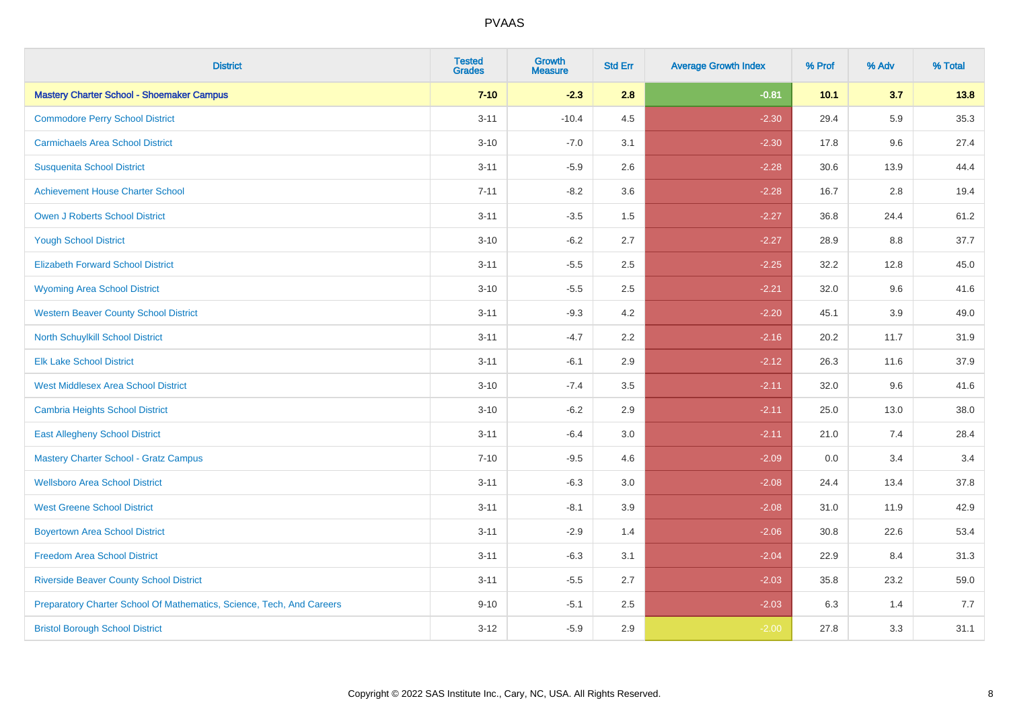| <b>District</b>                                                       | <b>Tested</b><br><b>Grades</b> | <b>Growth</b><br><b>Measure</b> | <b>Std Err</b> | <b>Average Growth Index</b> | % Prof | % Adv   | % Total |
|-----------------------------------------------------------------------|--------------------------------|---------------------------------|----------------|-----------------------------|--------|---------|---------|
| <b>Mastery Charter School - Shoemaker Campus</b>                      | $7 - 10$                       | $-2.3$                          | 2.8            | $-0.81$                     | 10.1   | 3.7     | 13.8    |
| <b>Commodore Perry School District</b>                                | $3 - 11$                       | $-10.4$                         | 4.5            | $-2.30$                     | 29.4   | 5.9     | 35.3    |
| <b>Carmichaels Area School District</b>                               | $3 - 10$                       | $-7.0$                          | 3.1            | $-2.30$                     | 17.8   | 9.6     | 27.4    |
| <b>Susquenita School District</b>                                     | $3 - 11$                       | $-5.9$                          | 2.6            | $-2.28$                     | 30.6   | 13.9    | 44.4    |
| <b>Achievement House Charter School</b>                               | $7 - 11$                       | $-8.2$                          | 3.6            | $-2.28$                     | 16.7   | 2.8     | 19.4    |
| <b>Owen J Roberts School District</b>                                 | $3 - 11$                       | $-3.5$                          | 1.5            | $-2.27$                     | 36.8   | 24.4    | 61.2    |
| <b>Yough School District</b>                                          | $3 - 10$                       | $-6.2$                          | 2.7            | $-2.27$                     | 28.9   | $8.8\,$ | 37.7    |
| <b>Elizabeth Forward School District</b>                              | $3 - 11$                       | $-5.5$                          | 2.5            | $-2.25$                     | 32.2   | 12.8    | 45.0    |
| <b>Wyoming Area School District</b>                                   | $3 - 10$                       | $-5.5$                          | 2.5            | $-2.21$                     | 32.0   | 9.6     | 41.6    |
| <b>Western Beaver County School District</b>                          | $3 - 11$                       | $-9.3$                          | 4.2            | $-2.20$                     | 45.1   | 3.9     | 49.0    |
| North Schuylkill School District                                      | $3 - 11$                       | $-4.7$                          | 2.2            | $-2.16$                     | 20.2   | 11.7    | 31.9    |
| <b>Elk Lake School District</b>                                       | $3 - 11$                       | $-6.1$                          | 2.9            | $-2.12$                     | 26.3   | 11.6    | 37.9    |
| <b>West Middlesex Area School District</b>                            | $3 - 10$                       | $-7.4$                          | $3.5\,$        | $-2.11$                     | 32.0   | 9.6     | 41.6    |
| <b>Cambria Heights School District</b>                                | $3 - 10$                       | $-6.2$                          | 2.9            | $-2.11$                     | 25.0   | 13.0    | 38.0    |
| <b>East Allegheny School District</b>                                 | $3 - 11$                       | $-6.4$                          | 3.0            | $-2.11$                     | 21.0   | 7.4     | 28.4    |
| <b>Mastery Charter School - Gratz Campus</b>                          | $7 - 10$                       | $-9.5$                          | 4.6            | $-2.09$                     | 0.0    | 3.4     | 3.4     |
| <b>Wellsboro Area School District</b>                                 | $3 - 11$                       | $-6.3$                          | 3.0            | $-2.08$                     | 24.4   | 13.4    | 37.8    |
| <b>West Greene School District</b>                                    | $3 - 11$                       | $-8.1$                          | 3.9            | $-2.08$                     | 31.0   | 11.9    | 42.9    |
| <b>Boyertown Area School District</b>                                 | $3 - 11$                       | $-2.9$                          | 1.4            | $-2.06$                     | 30.8   | 22.6    | 53.4    |
| <b>Freedom Area School District</b>                                   | $3 - 11$                       | $-6.3$                          | 3.1            | $-2.04$                     | 22.9   | 8.4     | 31.3    |
| <b>Riverside Beaver County School District</b>                        | $3 - 11$                       | $-5.5$                          | 2.7            | $-2.03$                     | 35.8   | 23.2    | 59.0    |
| Preparatory Charter School Of Mathematics, Science, Tech, And Careers | $9 - 10$                       | $-5.1$                          | 2.5            | $-2.03$                     | 6.3    | 1.4     | 7.7     |
| <b>Bristol Borough School District</b>                                | $3 - 12$                       | $-5.9$                          | 2.9            | $-2.00$                     | 27.8   | 3.3     | 31.1    |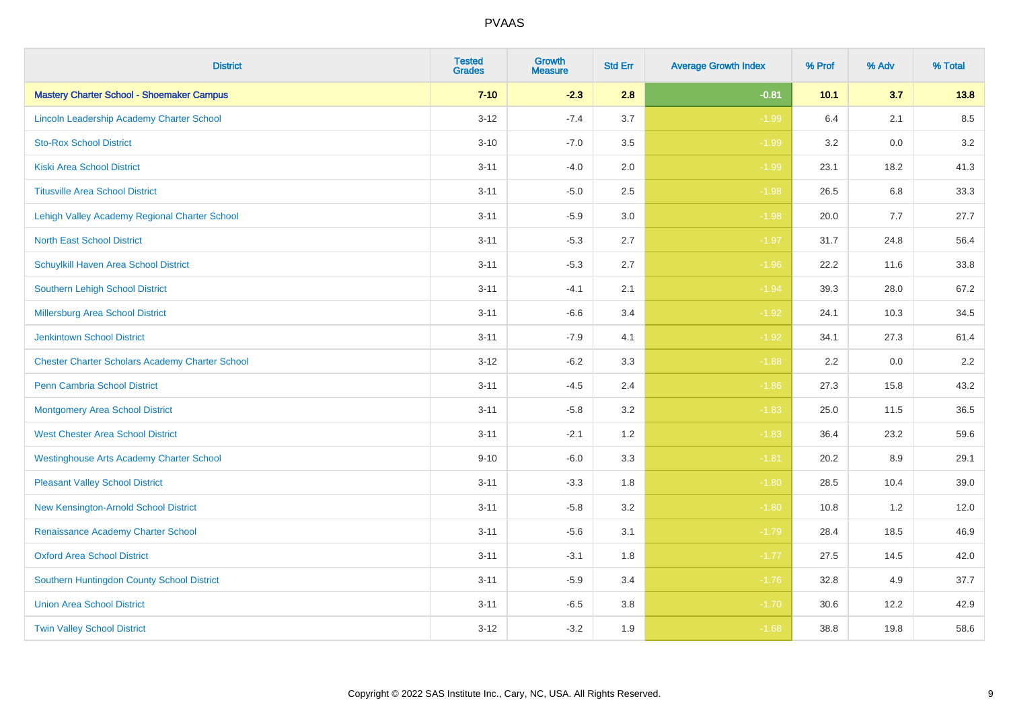| <b>District</b>                                        | <b>Tested</b><br><b>Grades</b> | <b>Growth</b><br><b>Measure</b> | <b>Std Err</b> | <b>Average Growth Index</b> | % Prof | % Adv | % Total |
|--------------------------------------------------------|--------------------------------|---------------------------------|----------------|-----------------------------|--------|-------|---------|
| <b>Mastery Charter School - Shoemaker Campus</b>       | $7 - 10$                       | $-2.3$                          | 2.8            | $-0.81$                     | 10.1   | 3.7   | 13.8    |
| Lincoln Leadership Academy Charter School              | $3 - 12$                       | $-7.4$                          | 3.7            | $-1.99$                     | 6.4    | 2.1   | 8.5     |
| <b>Sto-Rox School District</b>                         | $3 - 10$                       | $-7.0$                          | 3.5            | $-1.99$                     | 3.2    | 0.0   | 3.2     |
| <b>Kiski Area School District</b>                      | $3 - 11$                       | $-4.0$                          | 2.0            | $-1.99$                     | 23.1   | 18.2  | 41.3    |
| <b>Titusville Area School District</b>                 | $3 - 11$                       | $-5.0$                          | 2.5            | $-1.98$                     | 26.5   | 6.8   | 33.3    |
| Lehigh Valley Academy Regional Charter School          | $3 - 11$                       | $-5.9$                          | 3.0            | $-1.98$                     | 20.0   | 7.7   | 27.7    |
| <b>North East School District</b>                      | $3 - 11$                       | $-5.3$                          | 2.7            | $-1.97$                     | 31.7   | 24.8  | 56.4    |
| <b>Schuylkill Haven Area School District</b>           | $3 - 11$                       | $-5.3$                          | 2.7            | $-1.96$                     | 22.2   | 11.6  | 33.8    |
| Southern Lehigh School District                        | $3 - 11$                       | $-4.1$                          | 2.1            | $-1.94$                     | 39.3   | 28.0  | 67.2    |
| Millersburg Area School District                       | $3 - 11$                       | $-6.6$                          | 3.4            | $-1.92$                     | 24.1   | 10.3  | 34.5    |
| <b>Jenkintown School District</b>                      | $3 - 11$                       | $-7.9$                          | 4.1            | $-1.92$                     | 34.1   | 27.3  | 61.4    |
| <b>Chester Charter Scholars Academy Charter School</b> | $3 - 12$                       | $-6.2$                          | 3.3            | $-1.88$                     | 2.2    | 0.0   | 2.2     |
| Penn Cambria School District                           | $3 - 11$                       | $-4.5$                          | 2.4            | $-1.86$                     | 27.3   | 15.8  | 43.2    |
| <b>Montgomery Area School District</b>                 | $3 - 11$                       | $-5.8$                          | 3.2            | $-1.83$                     | 25.0   | 11.5  | 36.5    |
| <b>West Chester Area School District</b>               | $3 - 11$                       | $-2.1$                          | 1.2            | $-1.83$                     | 36.4   | 23.2  | 59.6    |
| <b>Westinghouse Arts Academy Charter School</b>        | $9 - 10$                       | $-6.0$                          | 3.3            | $-1.81$                     | 20.2   | 8.9   | 29.1    |
| <b>Pleasant Valley School District</b>                 | $3 - 11$                       | $-3.3$                          | 1.8            | $-1.80$                     | 28.5   | 10.4  | 39.0    |
| New Kensington-Arnold School District                  | $3 - 11$                       | $-5.8$                          | 3.2            | $-1.80$                     | 10.8   | 1.2   | 12.0    |
| Renaissance Academy Charter School                     | $3 - 11$                       | $-5.6$                          | 3.1            | $-1.79$                     | 28.4   | 18.5  | 46.9    |
| <b>Oxford Area School District</b>                     | $3 - 11$                       | $-3.1$                          | 1.8            | $-1.77$                     | 27.5   | 14.5  | 42.0    |
| Southern Huntingdon County School District             | $3 - 11$                       | $-5.9$                          | 3.4            | $-1.76$                     | 32.8   | 4.9   | 37.7    |
| <b>Union Area School District</b>                      | $3 - 11$                       | $-6.5$                          | 3.8            | $-1.70$                     | 30.6   | 12.2  | 42.9    |
| <b>Twin Valley School District</b>                     | $3 - 12$                       | $-3.2$                          | 1.9            | $-1.68$                     | 38.8   | 19.8  | 58.6    |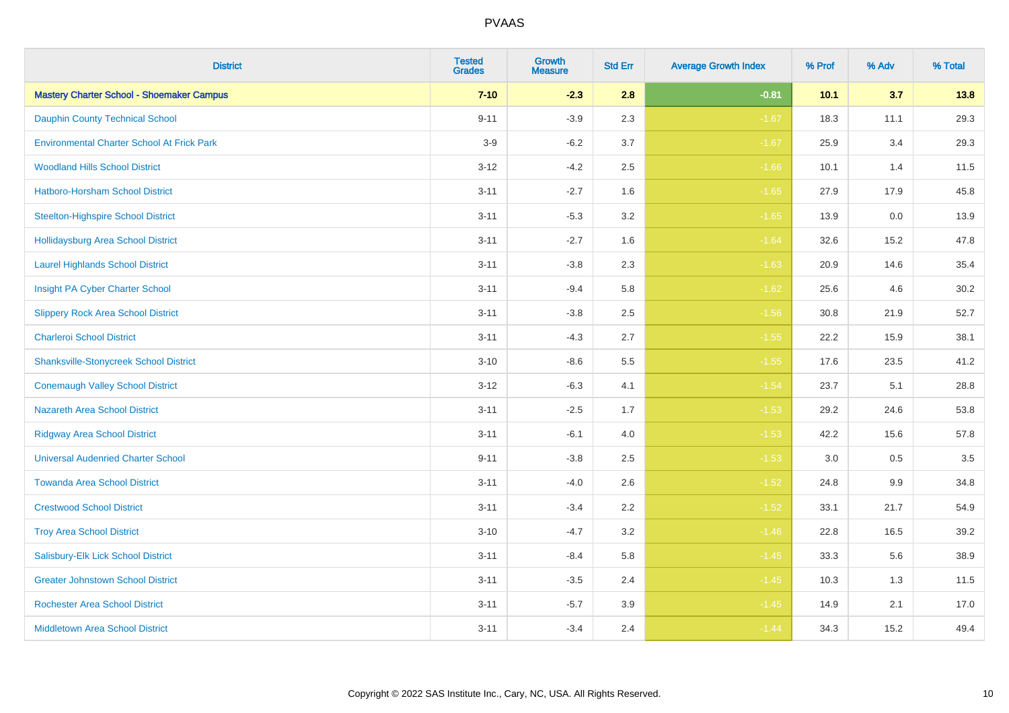| <b>District</b>                                   | <b>Tested</b><br><b>Grades</b> | <b>Growth</b><br><b>Measure</b> | <b>Std Err</b> | <b>Average Growth Index</b> | % Prof | % Adv   | % Total |
|---------------------------------------------------|--------------------------------|---------------------------------|----------------|-----------------------------|--------|---------|---------|
| <b>Mastery Charter School - Shoemaker Campus</b>  | $7 - 10$                       | $-2.3$                          | 2.8            | $-0.81$                     | 10.1   | 3.7     | 13.8    |
| <b>Dauphin County Technical School</b>            | $9 - 11$                       | $-3.9$                          | 2.3            | $-1.67$                     | 18.3   | 11.1    | 29.3    |
| <b>Environmental Charter School At Frick Park</b> | $3-9$                          | $-6.2$                          | 3.7            | $-1.67$                     | 25.9   | 3.4     | 29.3    |
| <b>Woodland Hills School District</b>             | $3 - 12$                       | $-4.2$                          | 2.5            | $-1.66$                     | 10.1   | 1.4     | 11.5    |
| <b>Hatboro-Horsham School District</b>            | $3 - 11$                       | $-2.7$                          | 1.6            | $-1.65$                     | 27.9   | 17.9    | 45.8    |
| <b>Steelton-Highspire School District</b>         | $3 - 11$                       | $-5.3$                          | 3.2            | $-1.65$                     | 13.9   | 0.0     | 13.9    |
| <b>Hollidaysburg Area School District</b>         | $3 - 11$                       | $-2.7$                          | 1.6            | $-1.64$                     | 32.6   | 15.2    | 47.8    |
| <b>Laurel Highlands School District</b>           | $3 - 11$                       | $-3.8$                          | 2.3            | $-1.63$                     | 20.9   | 14.6    | 35.4    |
| Insight PA Cyber Charter School                   | $3 - 11$                       | $-9.4$                          | 5.8            | $-1.62$                     | 25.6   | 4.6     | 30.2    |
| <b>Slippery Rock Area School District</b>         | $3 - 11$                       | $-3.8$                          | 2.5            | $-1.56$                     | 30.8   | 21.9    | 52.7    |
| <b>Charleroi School District</b>                  | $3 - 11$                       | $-4.3$                          | 2.7            | $-1.55$                     | 22.2   | 15.9    | 38.1    |
| <b>Shanksville-Stonycreek School District</b>     | $3 - 10$                       | $-8.6$                          | 5.5            | $-1.55$                     | 17.6   | 23.5    | 41.2    |
| <b>Conemaugh Valley School District</b>           | $3 - 12$                       | $-6.3$                          | 4.1            | $-1.54$                     | 23.7   | 5.1     | 28.8    |
| <b>Nazareth Area School District</b>              | $3 - 11$                       | $-2.5$                          | 1.7            | $-1.53$                     | 29.2   | 24.6    | 53.8    |
| <b>Ridgway Area School District</b>               | $3 - 11$                       | $-6.1$                          | 4.0            | $-1.53$                     | 42.2   | 15.6    | 57.8    |
| <b>Universal Audenried Charter School</b>         | $9 - 11$                       | $-3.8$                          | 2.5            | $-1.53$                     | 3.0    | $0.5\,$ | 3.5     |
| <b>Towanda Area School District</b>               | $3 - 11$                       | $-4.0$                          | 2.6            | $-1.52$                     | 24.8   | $9.9\,$ | 34.8    |
| <b>Crestwood School District</b>                  | $3 - 11$                       | $-3.4$                          | 2.2            | $-1.52$                     | 33.1   | 21.7    | 54.9    |
| <b>Troy Area School District</b>                  | $3 - 10$                       | $-4.7$                          | 3.2            | $-1.46$                     | 22.8   | 16.5    | 39.2    |
| Salisbury-Elk Lick School District                | $3 - 11$                       | $-8.4$                          | 5.8            | $-1.45$                     | 33.3   | 5.6     | 38.9    |
| <b>Greater Johnstown School District</b>          | $3 - 11$                       | $-3.5$                          | 2.4            | $-1.45$                     | 10.3   | 1.3     | 11.5    |
| <b>Rochester Area School District</b>             | $3 - 11$                       | $-5.7$                          | 3.9            | $-1.45$                     | 14.9   | 2.1     | 17.0    |
| <b>Middletown Area School District</b>            | $3 - 11$                       | $-3.4$                          | 2.4            | $-1.44$                     | 34.3   | 15.2    | 49.4    |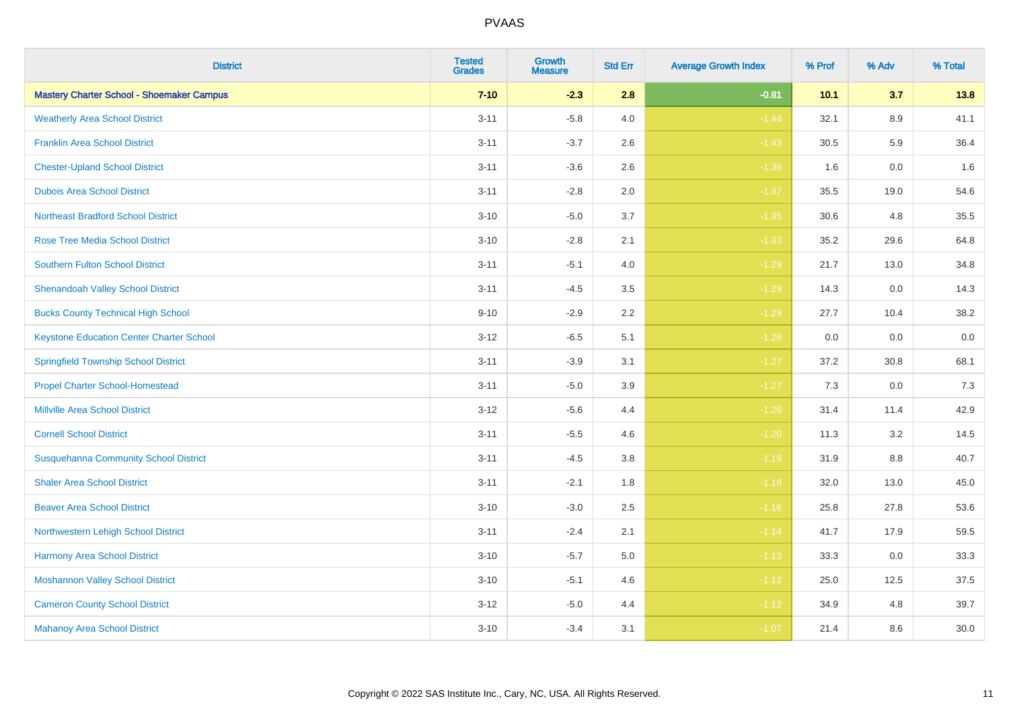| <b>District</b>                                  | <b>Tested</b><br><b>Grades</b> | <b>Growth</b><br><b>Measure</b> | <b>Std Err</b> | <b>Average Growth Index</b> | % Prof | % Adv   | % Total |
|--------------------------------------------------|--------------------------------|---------------------------------|----------------|-----------------------------|--------|---------|---------|
| <b>Mastery Charter School - Shoemaker Campus</b> | $7 - 10$                       | $-2.3$                          | 2.8            | $-0.81$                     | 10.1   | 3.7     | 13.8    |
| <b>Weatherly Area School District</b>            | $3 - 11$                       | $-5.8$                          | 4.0            | $-1.44$                     | 32.1   | 8.9     | 41.1    |
| <b>Franklin Area School District</b>             | $3 - 11$                       | $-3.7$                          | 2.6            | $-1.43$                     | 30.5   | 5.9     | 36.4    |
| <b>Chester-Upland School District</b>            | $3 - 11$                       | $-3.6$                          | 2.6            | $-1.38$                     | 1.6    | $0.0\,$ | 1.6     |
| <b>Dubois Area School District</b>               | $3 - 11$                       | $-2.8$                          | 2.0            | $-1.37$                     | 35.5   | 19.0    | 54.6    |
| <b>Northeast Bradford School District</b>        | $3 - 10$                       | $-5.0$                          | 3.7            | $-1.35$                     | 30.6   | 4.8     | 35.5    |
| <b>Rose Tree Media School District</b>           | $3 - 10$                       | $-2.8$                          | 2.1            | $-1.33$                     | 35.2   | 29.6    | 64.8    |
| <b>Southern Fulton School District</b>           | $3 - 11$                       | $-5.1$                          | 4.0            | $-1.29$                     | 21.7   | 13.0    | 34.8    |
| <b>Shenandoah Valley School District</b>         | $3 - 11$                       | $-4.5$                          | 3.5            | $-1.29$                     | 14.3   | 0.0     | 14.3    |
| <b>Bucks County Technical High School</b>        | $9 - 10$                       | $-2.9$                          | 2.2            | $-1.29$                     | 27.7   | 10.4    | 38.2    |
| <b>Keystone Education Center Charter School</b>  | $3 - 12$                       | $-6.5$                          | 5.1            | $-1.28$                     | 0.0    | 0.0     | $0.0\,$ |
| <b>Springfield Township School District</b>      | $3 - 11$                       | $-3.9$                          | 3.1            | $-1.27$                     | 37.2   | 30.8    | 68.1    |
| <b>Propel Charter School-Homestead</b>           | $3 - 11$                       | $-5.0$                          | 3.9            | $-1.27$                     | 7.3    | 0.0     | $7.3$   |
| <b>Millville Area School District</b>            | $3 - 12$                       | $-5.6$                          | 4.4            | $-1.26$                     | 31.4   | 11.4    | 42.9    |
| <b>Cornell School District</b>                   | $3 - 11$                       | $-5.5$                          | 4.6            | $-1.20$                     | 11.3   | 3.2     | 14.5    |
| <b>Susquehanna Community School District</b>     | $3 - 11$                       | $-4.5$                          | $3.8\,$        | $-1.19$                     | 31.9   | $8.8\,$ | 40.7    |
| <b>Shaler Area School District</b>               | $3 - 11$                       | $-2.1$                          | 1.8            | $-1.18$                     | 32.0   | 13.0    | 45.0    |
| <b>Beaver Area School District</b>               | $3 - 10$                       | $-3.0$                          | 2.5            | $-1.16$                     | 25.8   | 27.8    | 53.6    |
| Northwestern Lehigh School District              | $3 - 11$                       | $-2.4$                          | 2.1            | $-1.14$                     | 41.7   | 17.9    | 59.5    |
| Harmony Area School District                     | $3 - 10$                       | $-5.7$                          | 5.0            | $-1.13$                     | 33.3   | 0.0     | 33.3    |
| <b>Moshannon Valley School District</b>          | $3 - 10$                       | $-5.1$                          | 4.6            | $-1.12$                     | 25.0   | 12.5    | 37.5    |
| <b>Cameron County School District</b>            | $3 - 12$                       | $-5.0$                          | 4.4            | $-1.12$                     | 34.9   | 4.8     | 39.7    |
| <b>Mahanoy Area School District</b>              | $3 - 10$                       | $-3.4$                          | 3.1            | $-1.07$                     | 21.4   | 8.6     | 30.0    |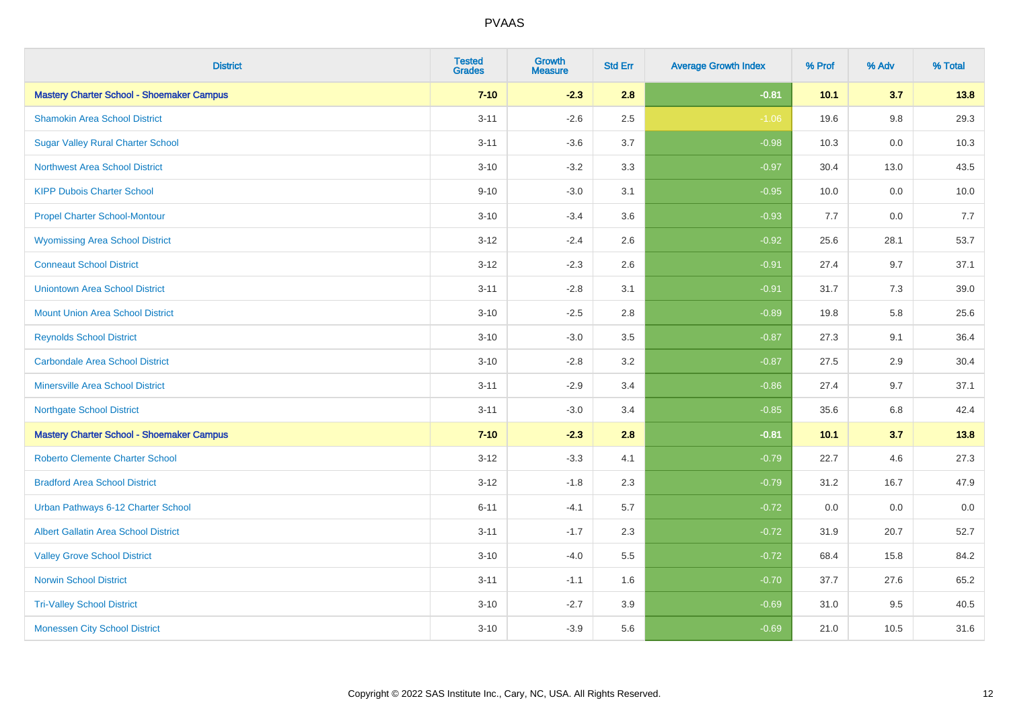| <b>District</b>                                  | <b>Tested</b><br><b>Grades</b> | <b>Growth</b><br><b>Measure</b> | <b>Std Err</b> | <b>Average Growth Index</b> | % Prof | % Adv   | % Total |
|--------------------------------------------------|--------------------------------|---------------------------------|----------------|-----------------------------|--------|---------|---------|
| <b>Mastery Charter School - Shoemaker Campus</b> | $7 - 10$                       | $-2.3$                          | 2.8            | $-0.81$                     | 10.1   | 3.7     | 13.8    |
| <b>Shamokin Area School District</b>             | $3 - 11$                       | $-2.6$                          | 2.5            | $-1.06$                     | 19.6   | $9.8\,$ | 29.3    |
| <b>Sugar Valley Rural Charter School</b>         | $3 - 11$                       | $-3.6$                          | 3.7            | $-0.98$                     | 10.3   | $0.0\,$ | 10.3    |
| <b>Northwest Area School District</b>            | $3 - 10$                       | $-3.2$                          | 3.3            | $-0.97$                     | 30.4   | 13.0    | 43.5    |
| <b>KIPP Dubois Charter School</b>                | $9 - 10$                       | $-3.0$                          | 3.1            | $-0.95$                     | 10.0   | 0.0     | 10.0    |
| <b>Propel Charter School-Montour</b>             | $3 - 10$                       | $-3.4$                          | 3.6            | $-0.93$                     | 7.7    | 0.0     | 7.7     |
| <b>Wyomissing Area School District</b>           | $3 - 12$                       | $-2.4$                          | 2.6            | $-0.92$                     | 25.6   | 28.1    | 53.7    |
| <b>Conneaut School District</b>                  | $3 - 12$                       | $-2.3$                          | 2.6            | $-0.91$                     | 27.4   | 9.7     | 37.1    |
| <b>Uniontown Area School District</b>            | $3 - 11$                       | $-2.8$                          | 3.1            | $-0.91$                     | 31.7   | 7.3     | 39.0    |
| <b>Mount Union Area School District</b>          | $3 - 10$                       | $-2.5$                          | 2.8            | $-0.89$                     | 19.8   | 5.8     | 25.6    |
| <b>Reynolds School District</b>                  | $3 - 10$                       | $-3.0$                          | 3.5            | $-0.87$                     | 27.3   | 9.1     | 36.4    |
| Carbondale Area School District                  | $3 - 10$                       | $-2.8$                          | 3.2            | $-0.87$                     | 27.5   | 2.9     | 30.4    |
| <b>Minersville Area School District</b>          | $3 - 11$                       | $-2.9$                          | 3.4            | $-0.86$                     | 27.4   | 9.7     | 37.1    |
| <b>Northgate School District</b>                 | $3 - 11$                       | $-3.0$                          | 3.4            | $-0.85$                     | 35.6   | 6.8     | 42.4    |
| <b>Mastery Charter School - Shoemaker Campus</b> | $7 - 10$                       | $-2.3$                          | 2.8            | $-0.81$                     | 10.1   | 3.7     | 13.8    |
| <b>Roberto Clemente Charter School</b>           | $3 - 12$                       | $-3.3$                          | 4.1            | $-0.79$                     | 22.7   | 4.6     | 27.3    |
| <b>Bradford Area School District</b>             | $3 - 12$                       | $-1.8$                          | 2.3            | $-0.79$                     | 31.2   | 16.7    | 47.9    |
| Urban Pathways 6-12 Charter School               | $6 - 11$                       | $-4.1$                          | 5.7            | $-0.72$                     | 0.0    | 0.0     | $0.0\,$ |
| <b>Albert Gallatin Area School District</b>      | $3 - 11$                       | $-1.7$                          | 2.3            | $-0.72$                     | 31.9   | 20.7    | 52.7    |
| <b>Valley Grove School District</b>              | $3 - 10$                       | $-4.0$                          | 5.5            | $-0.72$                     | 68.4   | 15.8    | 84.2    |
| <b>Norwin School District</b>                    | $3 - 11$                       | $-1.1$                          | 1.6            | $-0.70$                     | 37.7   | 27.6    | 65.2    |
| <b>Tri-Valley School District</b>                | $3 - 10$                       | $-2.7$                          | 3.9            | $-0.69$                     | 31.0   | 9.5     | 40.5    |
| <b>Monessen City School District</b>             | $3 - 10$                       | $-3.9$                          | 5.6            | $-0.69$                     | 21.0   | 10.5    | 31.6    |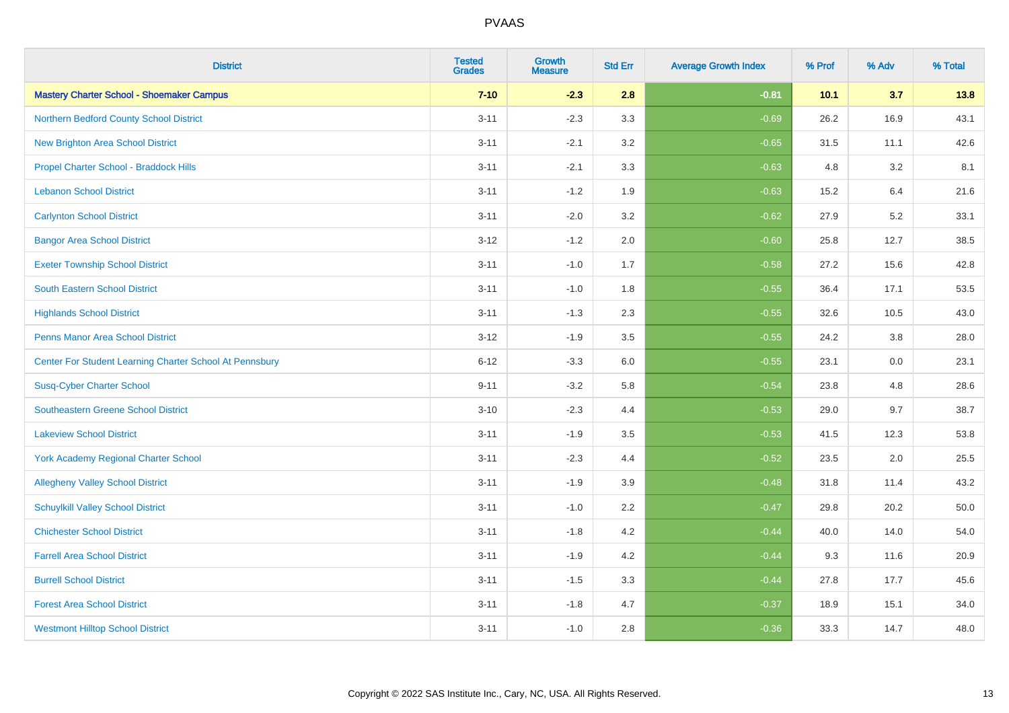| <b>District</b>                                         | <b>Tested</b><br><b>Grades</b> | <b>Growth</b><br><b>Measure</b> | <b>Std Err</b> | <b>Average Growth Index</b> | % Prof | % Adv | % Total |
|---------------------------------------------------------|--------------------------------|---------------------------------|----------------|-----------------------------|--------|-------|---------|
| <b>Mastery Charter School - Shoemaker Campus</b>        | $7 - 10$                       | $-2.3$                          | 2.8            | $-0.81$                     | 10.1   | 3.7   | 13.8    |
| Northern Bedford County School District                 | $3 - 11$                       | $-2.3$                          | 3.3            | $-0.69$                     | 26.2   | 16.9  | 43.1    |
| <b>New Brighton Area School District</b>                | $3 - 11$                       | $-2.1$                          | 3.2            | $-0.65$                     | 31.5   | 11.1  | 42.6    |
| Propel Charter School - Braddock Hills                  | $3 - 11$                       | $-2.1$                          | 3.3            | $-0.63$                     | 4.8    | 3.2   | 8.1     |
| <b>Lebanon School District</b>                          | $3 - 11$                       | $-1.2$                          | 1.9            | $-0.63$                     | 15.2   | 6.4   | 21.6    |
| <b>Carlynton School District</b>                        | $3 - 11$                       | $-2.0$                          | 3.2            | $-0.62$                     | 27.9   | 5.2   | 33.1    |
| <b>Bangor Area School District</b>                      | $3 - 12$                       | $-1.2$                          | 2.0            | $-0.60$                     | 25.8   | 12.7  | 38.5    |
| <b>Exeter Township School District</b>                  | $3 - 11$                       | $-1.0$                          | 1.7            | $-0.58$                     | 27.2   | 15.6  | 42.8    |
| <b>South Eastern School District</b>                    | $3 - 11$                       | $-1.0$                          | 1.8            | $-0.55$                     | 36.4   | 17.1  | 53.5    |
| <b>Highlands School District</b>                        | $3 - 11$                       | $-1.3$                          | 2.3            | $-0.55$                     | 32.6   | 10.5  | 43.0    |
| Penns Manor Area School District                        | $3 - 12$                       | $-1.9$                          | 3.5            | $-0.55$                     | 24.2   | 3.8   | 28.0    |
| Center For Student Learning Charter School At Pennsbury | $6 - 12$                       | $-3.3$                          | 6.0            | $-0.55$                     | 23.1   | 0.0   | 23.1    |
| <b>Susq-Cyber Charter School</b>                        | $9 - 11$                       | $-3.2$                          | 5.8            | $-0.54$                     | 23.8   | 4.8   | 28.6    |
| <b>Southeastern Greene School District</b>              | $3 - 10$                       | $-2.3$                          | 4.4            | $-0.53$                     | 29.0   | 9.7   | 38.7    |
| <b>Lakeview School District</b>                         | $3 - 11$                       | $-1.9$                          | 3.5            | $-0.53$                     | 41.5   | 12.3  | 53.8    |
| <b>York Academy Regional Charter School</b>             | $3 - 11$                       | $-2.3$                          | 4.4            | $-0.52$                     | 23.5   | 2.0   | 25.5    |
| <b>Allegheny Valley School District</b>                 | $3 - 11$                       | $-1.9$                          | 3.9            | $-0.48$                     | 31.8   | 11.4  | 43.2    |
| <b>Schuylkill Valley School District</b>                | $3 - 11$                       | $-1.0$                          | 2.2            | $-0.47$                     | 29.8   | 20.2  | 50.0    |
| <b>Chichester School District</b>                       | $3 - 11$                       | $-1.8$                          | 4.2            | $-0.44$                     | 40.0   | 14.0  | 54.0    |
| <b>Farrell Area School District</b>                     | $3 - 11$                       | $-1.9$                          | 4.2            | $-0.44$                     | 9.3    | 11.6  | 20.9    |
| <b>Burrell School District</b>                          | $3 - 11$                       | $-1.5$                          | 3.3            | $-0.44$                     | 27.8   | 17.7  | 45.6    |
| <b>Forest Area School District</b>                      | $3 - 11$                       | $-1.8$                          | 4.7            | $-0.37$                     | 18.9   | 15.1  | 34.0    |
| <b>Westmont Hilltop School District</b>                 | $3 - 11$                       | $-1.0$                          | 2.8            | $-0.36$                     | 33.3   | 14.7  | 48.0    |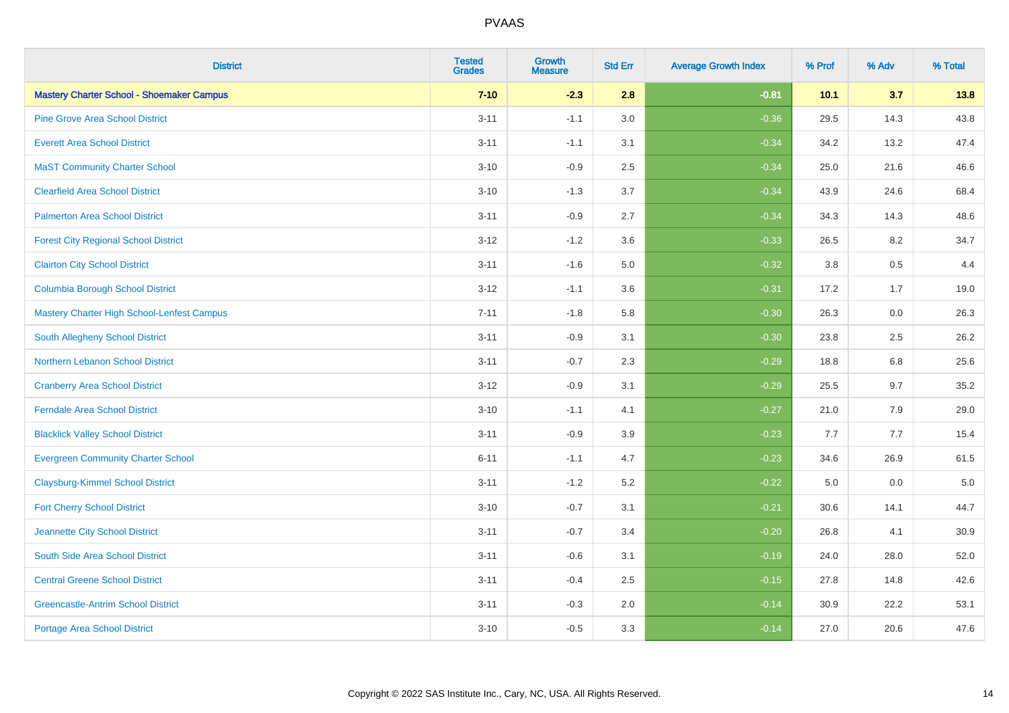| <b>District</b>                                  | <b>Tested</b><br><b>Grades</b> | <b>Growth</b><br><b>Measure</b> | <b>Std Err</b> | <b>Average Growth Index</b> | % Prof | % Adv   | % Total |
|--------------------------------------------------|--------------------------------|---------------------------------|----------------|-----------------------------|--------|---------|---------|
| <b>Mastery Charter School - Shoemaker Campus</b> | $7 - 10$                       | $-2.3$                          | 2.8            | $-0.81$                     | 10.1   | 3.7     | 13.8    |
| <b>Pine Grove Area School District</b>           | $3 - 11$                       | $-1.1$                          | 3.0            | $-0.36$                     | 29.5   | 14.3    | 43.8    |
| <b>Everett Area School District</b>              | $3 - 11$                       | $-1.1$                          | 3.1            | $-0.34$                     | 34.2   | 13.2    | 47.4    |
| <b>MaST Community Charter School</b>             | $3 - 10$                       | $-0.9$                          | 2.5            | $-0.34$                     | 25.0   | 21.6    | 46.6    |
| <b>Clearfield Area School District</b>           | $3 - 10$                       | $-1.3$                          | 3.7            | $-0.34$                     | 43.9   | 24.6    | 68.4    |
| <b>Palmerton Area School District</b>            | $3 - 11$                       | $-0.9$                          | 2.7            | $-0.34$                     | 34.3   | 14.3    | 48.6    |
| <b>Forest City Regional School District</b>      | $3 - 12$                       | $-1.2$                          | 3.6            | $-0.33$                     | 26.5   | 8.2     | 34.7    |
| <b>Clairton City School District</b>             | $3 - 11$                       | $-1.6$                          | 5.0            | $-0.32$                     | 3.8    | 0.5     | 4.4     |
| <b>Columbia Borough School District</b>          | $3 - 12$                       | $-1.1$                          | 3.6            | $-0.31$                     | 17.2   | 1.7     | 19.0    |
| Mastery Charter High School-Lenfest Campus       | $7 - 11$                       | $-1.8$                          | 5.8            | $-0.30$                     | 26.3   | 0.0     | 26.3    |
| South Allegheny School District                  | $3 - 11$                       | $-0.9$                          | 3.1            | $-0.30$                     | 23.8   | 2.5     | 26.2    |
| <b>Northern Lebanon School District</b>          | $3 - 11$                       | $-0.7$                          | 2.3            | $-0.29$                     | 18.8   | 6.8     | 25.6    |
| <b>Cranberry Area School District</b>            | $3 - 12$                       | $-0.9$                          | 3.1            | $-0.29$                     | 25.5   | 9.7     | 35.2    |
| <b>Ferndale Area School District</b>             | $3 - 10$                       | $-1.1$                          | 4.1            | $-0.27$                     | 21.0   | 7.9     | 29.0    |
| <b>Blacklick Valley School District</b>          | $3 - 11$                       | $-0.9$                          | 3.9            | $-0.23$                     | 7.7    | 7.7     | 15.4    |
| <b>Evergreen Community Charter School</b>        | $6 - 11$                       | $-1.1$                          | 4.7            | $-0.23$                     | 34.6   | 26.9    | 61.5    |
| <b>Claysburg-Kimmel School District</b>          | $3 - 11$                       | $-1.2$                          | 5.2            | $-0.22$                     | 5.0    | $0.0\,$ | $5.0$   |
| <b>Fort Cherry School District</b>               | $3 - 10$                       | $-0.7$                          | 3.1            | $-0.21$                     | 30.6   | 14.1    | 44.7    |
| Jeannette City School District                   | $3 - 11$                       | $-0.7$                          | 3.4            | $-0.20$                     | 26.8   | 4.1     | 30.9    |
| South Side Area School District                  | $3 - 11$                       | $-0.6$                          | 3.1            | $-0.19$                     | 24.0   | 28.0    | 52.0    |
| <b>Central Greene School District</b>            | $3 - 11$                       | $-0.4$                          | 2.5            | $-0.15$                     | 27.8   | 14.8    | 42.6    |
| <b>Greencastle-Antrim School District</b>        | $3 - 11$                       | $-0.3$                          | 2.0            | $-0.14$                     | 30.9   | 22.2    | 53.1    |
| <b>Portage Area School District</b>              | $3 - 10$                       | $-0.5$                          | 3.3            | $-0.14$                     | 27.0   | 20.6    | 47.6    |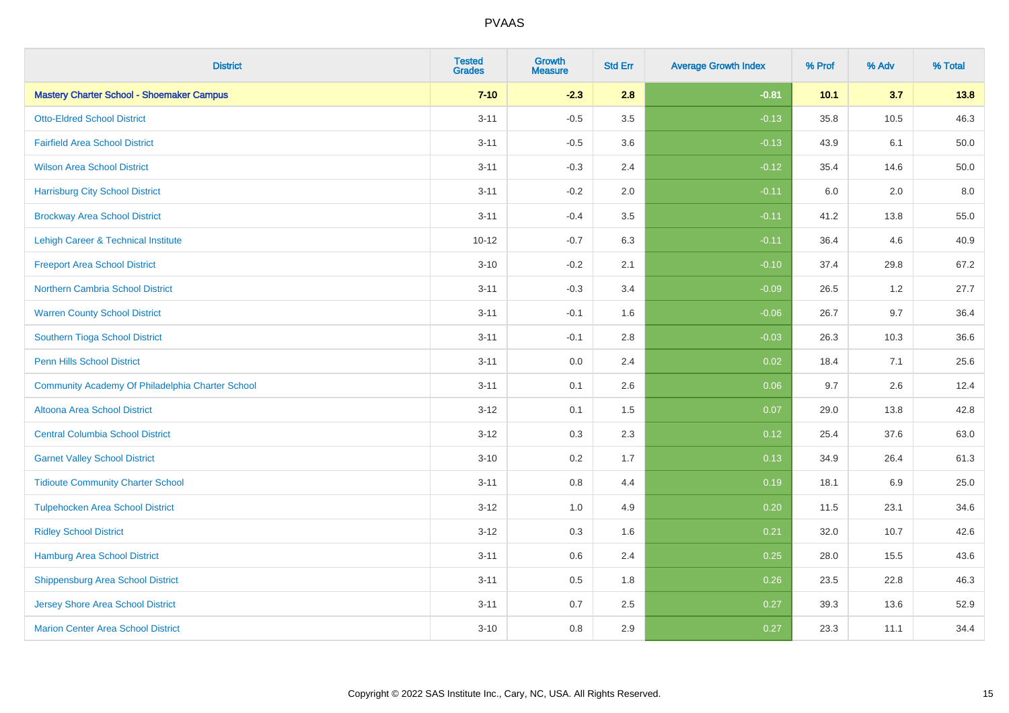| <b>District</b>                                  | <b>Tested</b><br><b>Grades</b> | Growth<br><b>Measure</b> | <b>Std Err</b> | <b>Average Growth Index</b> | % Prof | % Adv | % Total  |
|--------------------------------------------------|--------------------------------|--------------------------|----------------|-----------------------------|--------|-------|----------|
| <b>Mastery Charter School - Shoemaker Campus</b> | $7 - 10$                       | $-2.3$                   | 2.8            | $-0.81$                     | 10.1   | 3.7   | 13.8     |
| <b>Otto-Eldred School District</b>               | $3 - 11$                       | $-0.5$                   | 3.5            | $-0.13$                     | 35.8   | 10.5  | 46.3     |
| <b>Fairfield Area School District</b>            | $3 - 11$                       | $-0.5$                   | 3.6            | $-0.13$                     | 43.9   | 6.1   | $50.0\,$ |
| <b>Wilson Area School District</b>               | $3 - 11$                       | $-0.3$                   | 2.4            | $-0.12$                     | 35.4   | 14.6  | 50.0     |
| <b>Harrisburg City School District</b>           | $3 - 11$                       | $-0.2$                   | 2.0            | $-0.11$                     | 6.0    | 2.0   | 8.0      |
| <b>Brockway Area School District</b>             | $3 - 11$                       | $-0.4$                   | 3.5            | $-0.11$                     | 41.2   | 13.8  | 55.0     |
| Lehigh Career & Technical Institute              | $10 - 12$                      | $-0.7$                   | 6.3            | $-0.11$                     | 36.4   | 4.6   | 40.9     |
| <b>Freeport Area School District</b>             | $3 - 10$                       | $-0.2$                   | 2.1            | $-0.10$                     | 37.4   | 29.8  | 67.2     |
| <b>Northern Cambria School District</b>          | $3 - 11$                       | $-0.3$                   | 3.4            | $-0.09$                     | 26.5   | 1.2   | 27.7     |
| <b>Warren County School District</b>             | $3 - 11$                       | $-0.1$                   | 1.6            | $-0.06$                     | 26.7   | 9.7   | 36.4     |
| Southern Tioga School District                   | $3 - 11$                       | $-0.1$                   | 2.8            | $-0.03$                     | 26.3   | 10.3  | 36.6     |
| <b>Penn Hills School District</b>                | $3 - 11$                       | 0.0                      | 2.4            | 0.02                        | 18.4   | 7.1   | 25.6     |
| Community Academy Of Philadelphia Charter School | $3 - 11$                       | 0.1                      | 2.6            | 0.06                        | 9.7    | 2.6   | 12.4     |
| Altoona Area School District                     | $3 - 12$                       | 0.1                      | 1.5            | 0.07                        | 29.0   | 13.8  | 42.8     |
| <b>Central Columbia School District</b>          | $3-12$                         | 0.3                      | 2.3            | 0.12                        | 25.4   | 37.6  | 63.0     |
| <b>Garnet Valley School District</b>             | $3 - 10$                       | 0.2                      | 1.7            | 0.13                        | 34.9   | 26.4  | 61.3     |
| <b>Tidioute Community Charter School</b>         | $3 - 11$                       | 0.8                      | 4.4            | 0.19                        | 18.1   | 6.9   | 25.0     |
| <b>Tulpehocken Area School District</b>          | $3-12$                         | 1.0                      | 4.9            | 0.20                        | 11.5   | 23.1  | 34.6     |
| <b>Ridley School District</b>                    | $3-12$                         | 0.3                      | 1.6            | 0.21                        | 32.0   | 10.7  | 42.6     |
| Hamburg Area School District                     | $3 - 11$                       | 0.6                      | 2.4            | 0.25                        | 28.0   | 15.5  | 43.6     |
| <b>Shippensburg Area School District</b>         | $3 - 11$                       | 0.5                      | 1.8            | 0.26                        | 23.5   | 22.8  | 46.3     |
| <b>Jersey Shore Area School District</b>         | $3 - 11$                       | 0.7                      | 2.5            | 0.27                        | 39.3   | 13.6  | 52.9     |
| <b>Marion Center Area School District</b>        | $3 - 10$                       | 0.8                      | 2.9            | 0.27                        | 23.3   | 11.1  | 34.4     |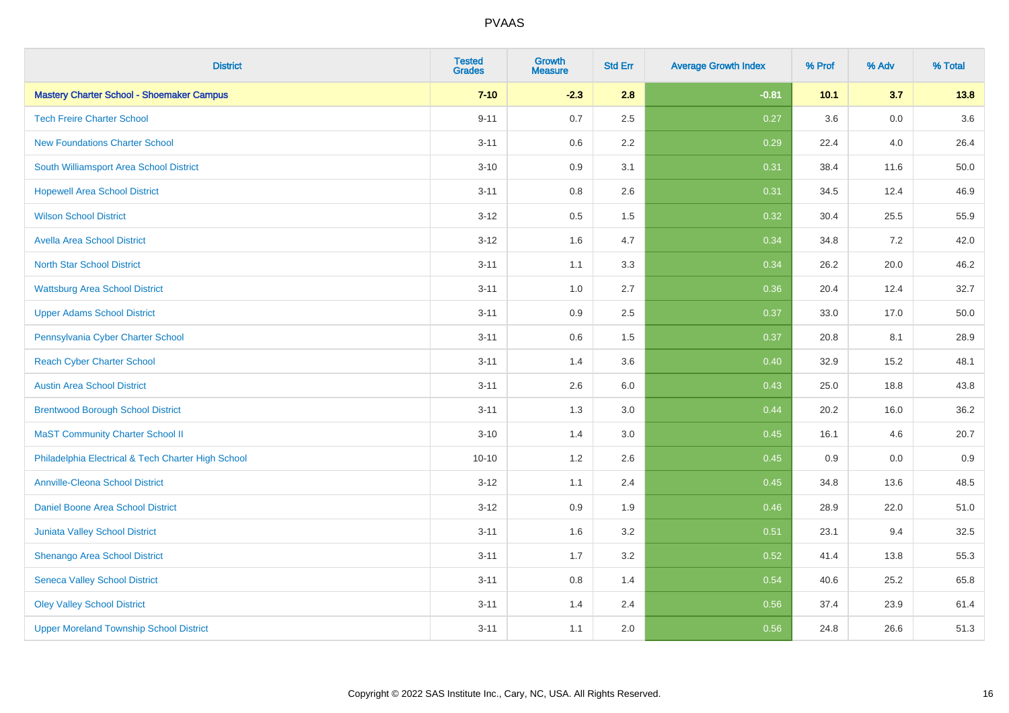| <b>District</b>                                    | <b>Tested</b><br><b>Grades</b> | <b>Growth</b><br><b>Measure</b> | <b>Std Err</b> | <b>Average Growth Index</b> | % Prof | % Adv   | % Total |
|----------------------------------------------------|--------------------------------|---------------------------------|----------------|-----------------------------|--------|---------|---------|
| <b>Mastery Charter School - Shoemaker Campus</b>   | $7 - 10$                       | $-2.3$                          | 2.8            | $-0.81$                     | 10.1   | 3.7     | 13.8    |
| <b>Tech Freire Charter School</b>                  | $9 - 11$                       | 0.7                             | 2.5            | 0.27                        | 3.6    | 0.0     | 3.6     |
| <b>New Foundations Charter School</b>              | $3 - 11$                       | 0.6                             | 2.2            | 0.29                        | 22.4   | 4.0     | 26.4    |
| South Williamsport Area School District            | $3 - 10$                       | 0.9                             | 3.1            | 0.31                        | 38.4   | 11.6    | 50.0    |
| <b>Hopewell Area School District</b>               | $3 - 11$                       | 0.8                             | 2.6            | 0.31                        | 34.5   | 12.4    | 46.9    |
| <b>Wilson School District</b>                      | $3 - 12$                       | 0.5                             | 1.5            | 0.32                        | 30.4   | 25.5    | 55.9    |
| <b>Avella Area School District</b>                 | $3-12$                         | 1.6                             | 4.7            | 0.34                        | 34.8   | 7.2     | 42.0    |
| <b>North Star School District</b>                  | $3 - 11$                       | 1.1                             | 3.3            | 0.34                        | 26.2   | 20.0    | 46.2    |
| <b>Wattsburg Area School District</b>              | $3 - 11$                       | 1.0                             | 2.7            | 0.36                        | 20.4   | 12.4    | 32.7    |
| <b>Upper Adams School District</b>                 | $3 - 11$                       | 0.9                             | 2.5            | 0.37                        | 33.0   | 17.0    | 50.0    |
| Pennsylvania Cyber Charter School                  | $3 - 11$                       | 0.6                             | 1.5            | 0.37                        | 20.8   | 8.1     | 28.9    |
| <b>Reach Cyber Charter School</b>                  | $3 - 11$                       | 1.4                             | 3.6            | 0.40                        | 32.9   | 15.2    | 48.1    |
| <b>Austin Area School District</b>                 | $3 - 11$                       | 2.6                             | 6.0            | 0.43                        | 25.0   | 18.8    | 43.8    |
| <b>Brentwood Borough School District</b>           | $3 - 11$                       | 1.3                             | 3.0            | 0.44                        | 20.2   | 16.0    | 36.2    |
| <b>MaST Community Charter School II</b>            | $3 - 10$                       | 1.4                             | 3.0            | 0.45                        | 16.1   | 4.6     | 20.7    |
| Philadelphia Electrical & Tech Charter High School | $10 - 10$                      | 1.2                             | 2.6            | 0.45                        | 0.9    | $0.0\,$ | 0.9     |
| <b>Annville-Cleona School District</b>             | $3 - 12$                       | 1.1                             | 2.4            | 0.45                        | 34.8   | 13.6    | 48.5    |
| Daniel Boone Area School District                  | $3 - 12$                       | 0.9                             | 1.9            | 0.46                        | 28.9   | 22.0    | 51.0    |
| Juniata Valley School District                     | $3 - 11$                       | 1.6                             | 3.2            | 0.51                        | 23.1   | 9.4     | 32.5    |
| Shenango Area School District                      | $3 - 11$                       | 1.7                             | 3.2            | 0.52                        | 41.4   | 13.8    | 55.3    |
| <b>Seneca Valley School District</b>               | $3 - 11$                       | $0.8\,$                         | 1.4            | 0.54                        | 40.6   | 25.2    | 65.8    |
| <b>Oley Valley School District</b>                 | $3 - 11$                       | 1.4                             | 2.4            | 0.56                        | 37.4   | 23.9    | 61.4    |
| <b>Upper Moreland Township School District</b>     | $3 - 11$                       | 1.1                             | 2.0            | 0.56                        | 24.8   | 26.6    | 51.3    |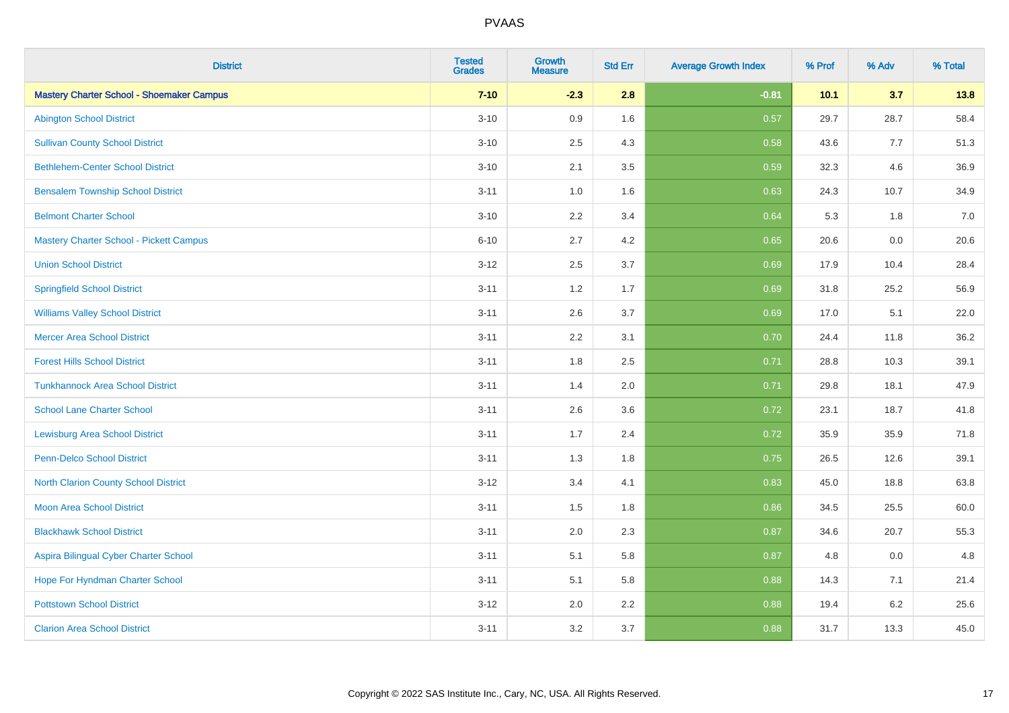| <b>District</b>                                  | <b>Tested</b><br><b>Grades</b> | <b>Growth</b><br><b>Measure</b> | <b>Std Err</b> | <b>Average Growth Index</b> | % Prof | % Adv   | % Total |
|--------------------------------------------------|--------------------------------|---------------------------------|----------------|-----------------------------|--------|---------|---------|
| <b>Mastery Charter School - Shoemaker Campus</b> | $7 - 10$                       | $-2.3$                          | 2.8            | $-0.81$                     | 10.1   | 3.7     | 13.8    |
| <b>Abington School District</b>                  | $3 - 10$                       | 0.9                             | 1.6            | 0.57                        | 29.7   | 28.7    | 58.4    |
| <b>Sullivan County School District</b>           | $3 - 10$                       | 2.5                             | 4.3            | 0.58                        | 43.6   | 7.7     | 51.3    |
| <b>Bethlehem-Center School District</b>          | $3 - 10$                       | 2.1                             | 3.5            | 0.59                        | 32.3   | 4.6     | 36.9    |
| <b>Bensalem Township School District</b>         | $3 - 11$                       | 1.0                             | 1.6            | 0.63                        | 24.3   | 10.7    | 34.9    |
| <b>Belmont Charter School</b>                    | $3 - 10$                       | 2.2                             | 3.4            | 0.64                        | 5.3    | 1.8     | 7.0     |
| Mastery Charter School - Pickett Campus          | $6 - 10$                       | 2.7                             | 4.2            | 0.65                        | 20.6   | 0.0     | 20.6    |
| <b>Union School District</b>                     | $3 - 12$                       | 2.5                             | 3.7            | 0.69                        | 17.9   | 10.4    | 28.4    |
| <b>Springfield School District</b>               | $3 - 11$                       | 1.2                             | 1.7            | 0.69                        | 31.8   | 25.2    | 56.9    |
| <b>Williams Valley School District</b>           | $3 - 11$                       | 2.6                             | 3.7            | 0.69                        | 17.0   | 5.1     | 22.0    |
| <b>Mercer Area School District</b>               | $3 - 11$                       | 2.2                             | 3.1            | 0.70                        | 24.4   | 11.8    | 36.2    |
| <b>Forest Hills School District</b>              | $3 - 11$                       | 1.8                             | 2.5            | 0.71                        | 28.8   | 10.3    | 39.1    |
| <b>Tunkhannock Area School District</b>          | $3 - 11$                       | 1.4                             | 2.0            | 0.71                        | 29.8   | 18.1    | 47.9    |
| <b>School Lane Charter School</b>                | $3 - 11$                       | 2.6                             | 3.6            | 0.72                        | 23.1   | 18.7    | 41.8    |
| <b>Lewisburg Area School District</b>            | $3 - 11$                       | 1.7                             | 2.4            | 0.72                        | 35.9   | 35.9    | 71.8    |
| <b>Penn-Delco School District</b>                | $3 - 11$                       | 1.3                             | 1.8            | 0.75                        | 26.5   | 12.6    | 39.1    |
| <b>North Clarion County School District</b>      | $3 - 12$                       | 3.4                             | 4.1            | 0.83                        | 45.0   | 18.8    | 63.8    |
| <b>Moon Area School District</b>                 | $3 - 11$                       | 1.5                             | 1.8            | 0.86                        | 34.5   | 25.5    | 60.0    |
| <b>Blackhawk School District</b>                 | $3 - 11$                       | 2.0                             | 2.3            | 0.87                        | 34.6   | 20.7    | 55.3    |
| Aspira Bilingual Cyber Charter School            | $3 - 11$                       | 5.1                             | 5.8            | 0.87                        | 4.8    | 0.0     | 4.8     |
| Hope For Hyndman Charter School                  | $3 - 11$                       | 5.1                             | 5.8            | 0.88                        | 14.3   | 7.1     | 21.4    |
| <b>Pottstown School District</b>                 | $3 - 12$                       | 2.0                             | 2.2            | 0.88                        | 19.4   | $6.2\,$ | 25.6    |
| <b>Clarion Area School District</b>              | $3 - 11$                       | 3.2                             | 3.7            | 0.88                        | 31.7   | 13.3    | 45.0    |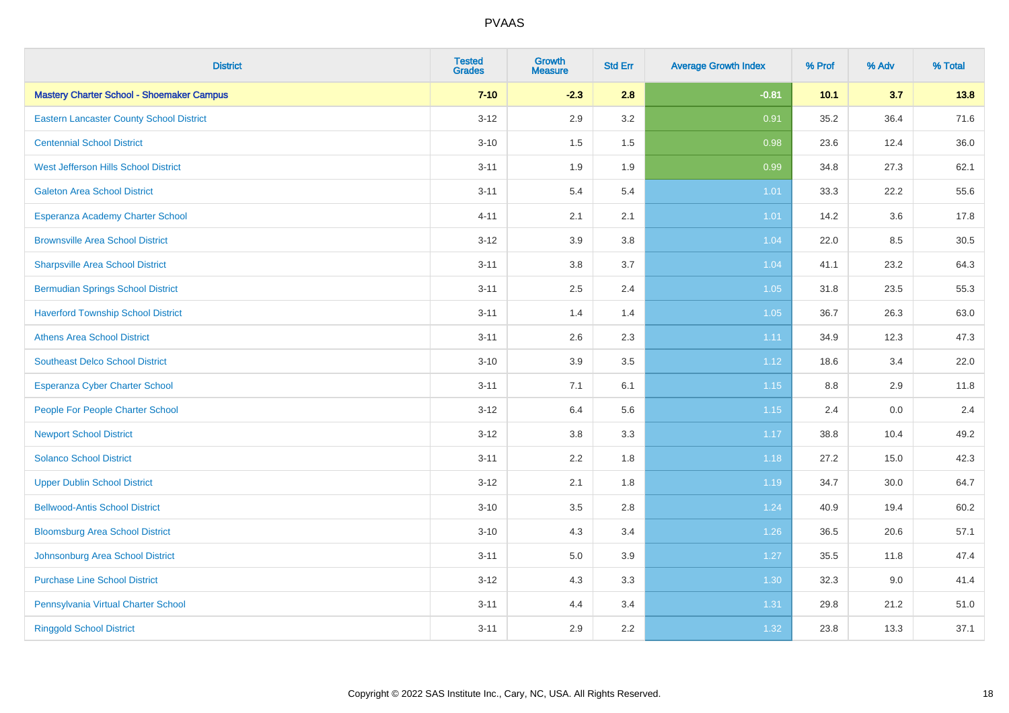| <b>District</b>                                  | <b>Tested</b><br><b>Grades</b> | <b>Growth</b><br><b>Measure</b> | <b>Std Err</b> | <b>Average Growth Index</b> | % Prof | % Adv   | % Total |
|--------------------------------------------------|--------------------------------|---------------------------------|----------------|-----------------------------|--------|---------|---------|
| <b>Mastery Charter School - Shoemaker Campus</b> | $7 - 10$                       | $-2.3$                          | 2.8            | $-0.81$                     | 10.1   | 3.7     | 13.8    |
| <b>Eastern Lancaster County School District</b>  | $3 - 12$                       | 2.9                             | 3.2            | 0.91                        | 35.2   | 36.4    | 71.6    |
| <b>Centennial School District</b>                | $3 - 10$                       | 1.5                             | 1.5            | 0.98                        | 23.6   | 12.4    | 36.0    |
| West Jefferson Hills School District             | $3 - 11$                       | 1.9                             | 1.9            | 0.99                        | 34.8   | 27.3    | 62.1    |
| <b>Galeton Area School District</b>              | $3 - 11$                       | 5.4                             | 5.4            | 1.01                        | 33.3   | 22.2    | 55.6    |
| Esperanza Academy Charter School                 | $4 - 11$                       | 2.1                             | 2.1            | 1.01                        | 14.2   | 3.6     | 17.8    |
| <b>Brownsville Area School District</b>          | $3 - 12$                       | 3.9                             | 3.8            | 1.04                        | 22.0   | 8.5     | 30.5    |
| <b>Sharpsville Area School District</b>          | $3 - 11$                       | 3.8                             | 3.7            | 1.04                        | 41.1   | 23.2    | 64.3    |
| <b>Bermudian Springs School District</b>         | $3 - 11$                       | 2.5                             | 2.4            | 1.05                        | 31.8   | 23.5    | 55.3    |
| <b>Haverford Township School District</b>        | $3 - 11$                       | 1.4                             | 1.4            | 1.05                        | 36.7   | 26.3    | 63.0    |
| <b>Athens Area School District</b>               | $3 - 11$                       | 2.6                             | 2.3            | 1.11                        | 34.9   | 12.3    | 47.3    |
| <b>Southeast Delco School District</b>           | $3 - 10$                       | 3.9                             | 3.5            | 1.12                        | 18.6   | 3.4     | 22.0    |
| Esperanza Cyber Charter School                   | $3 - 11$                       | 7.1                             | 6.1            | 1.15                        | 8.8    | 2.9     | 11.8    |
| People For People Charter School                 | $3 - 12$                       | 6.4                             | 5.6            | 1.15                        | 2.4    | $0.0\,$ | 2.4     |
| <b>Newport School District</b>                   | $3 - 12$                       | 3.8                             | 3.3            | 1.17                        | 38.8   | 10.4    | 49.2    |
| <b>Solanco School District</b>                   | $3 - 11$                       | 2.2                             | 1.8            | 1.18                        | 27.2   | 15.0    | 42.3    |
| <b>Upper Dublin School District</b>              | $3-12$                         | 2.1                             | 1.8            | 1.19                        | 34.7   | 30.0    | 64.7    |
| <b>Bellwood-Antis School District</b>            | $3 - 10$                       | 3.5                             | 2.8            | 1.24                        | 40.9   | 19.4    | 60.2    |
| <b>Bloomsburg Area School District</b>           | $3 - 10$                       | 4.3                             | 3.4            | 1.26                        | 36.5   | 20.6    | 57.1    |
| Johnsonburg Area School District                 | $3 - 11$                       | 5.0                             | 3.9            | $1.27$                      | 35.5   | 11.8    | 47.4    |
| <b>Purchase Line School District</b>             | $3 - 12$                       | 4.3                             | 3.3            | 1.30                        | 32.3   | 9.0     | 41.4    |
| Pennsylvania Virtual Charter School              | $3 - 11$                       | 4.4                             | 3.4            | 1.31                        | 29.8   | 21.2    | 51.0    |
| <b>Ringgold School District</b>                  | $3 - 11$                       | 2.9                             | 2.2            | 1.32                        | 23.8   | 13.3    | 37.1    |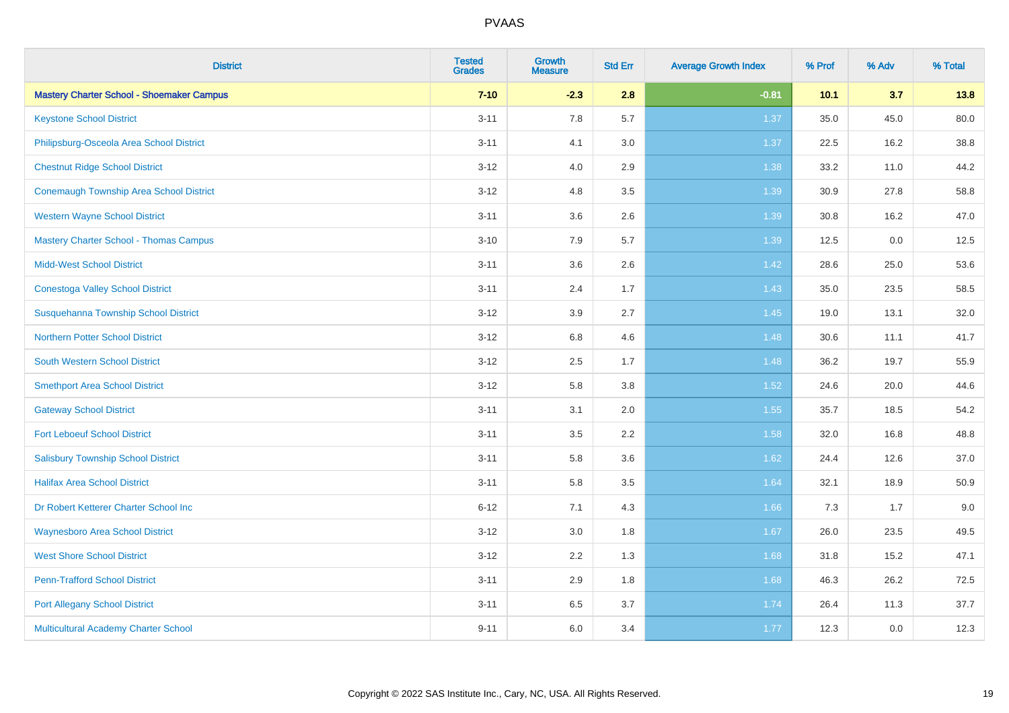| <b>District</b>                                  | <b>Tested</b><br><b>Grades</b> | <b>Growth</b><br><b>Measure</b> | <b>Std Err</b> | <b>Average Growth Index</b> | % Prof | % Adv | % Total |
|--------------------------------------------------|--------------------------------|---------------------------------|----------------|-----------------------------|--------|-------|---------|
| <b>Mastery Charter School - Shoemaker Campus</b> | $7 - 10$                       | $-2.3$                          | 2.8            | $-0.81$                     | 10.1   | 3.7   | 13.8    |
| <b>Keystone School District</b>                  | $3 - 11$                       | 7.8                             | 5.7            | 1.37                        | 35.0   | 45.0  | 80.0    |
| Philipsburg-Osceola Area School District         | $3 - 11$                       | 4.1                             | 3.0            | 1.37                        | 22.5   | 16.2  | 38.8    |
| <b>Chestnut Ridge School District</b>            | $3 - 12$                       | 4.0                             | 2.9            | 1.38                        | 33.2   | 11.0  | 44.2    |
| <b>Conemaugh Township Area School District</b>   | $3 - 12$                       | 4.8                             | 3.5            | 1.39                        | 30.9   | 27.8  | 58.8    |
| <b>Western Wayne School District</b>             | $3 - 11$                       | 3.6                             | 2.6            | 1.39                        | 30.8   | 16.2  | 47.0    |
| <b>Mastery Charter School - Thomas Campus</b>    | $3 - 10$                       | 7.9                             | 5.7            | 1.39                        | 12.5   | 0.0   | 12.5    |
| <b>Midd-West School District</b>                 | $3 - 11$                       | 3.6                             | 2.6            | 1.42                        | 28.6   | 25.0  | 53.6    |
| <b>Conestoga Valley School District</b>          | $3 - 11$                       | 2.4                             | 1.7            | 1.43                        | 35.0   | 23.5  | 58.5    |
| Susquehanna Township School District             | $3 - 12$                       | 3.9                             | 2.7            | 1.45                        | 19.0   | 13.1  | 32.0    |
| <b>Northern Potter School District</b>           | $3 - 12$                       | $6.8\,$                         | 4.6            | 1.48                        | 30.6   | 11.1  | 41.7    |
| South Western School District                    | $3 - 12$                       | 2.5                             | 1.7            | 1.48                        | 36.2   | 19.7  | 55.9    |
| <b>Smethport Area School District</b>            | $3 - 12$                       | 5.8                             | 3.8            | 1.52                        | 24.6   | 20.0  | 44.6    |
| <b>Gateway School District</b>                   | $3 - 11$                       | 3.1                             | 2.0            | 1.55                        | 35.7   | 18.5  | 54.2    |
| <b>Fort Leboeuf School District</b>              | $3 - 11$                       | 3.5                             | 2.2            | 1.58                        | 32.0   | 16.8  | 48.8    |
| <b>Salisbury Township School District</b>        | $3 - 11$                       | 5.8                             | 3.6            | 1.62                        | 24.4   | 12.6  | 37.0    |
| <b>Halifax Area School District</b>              | $3 - 11$                       | 5.8                             | 3.5            | 1.64                        | 32.1   | 18.9  | 50.9    |
| Dr Robert Ketterer Charter School Inc            | $6 - 12$                       | 7.1                             | 4.3            | 1.66                        | 7.3    | 1.7   | 9.0     |
| <b>Waynesboro Area School District</b>           | $3 - 12$                       | 3.0                             | 1.8            | 1.67                        | 26.0   | 23.5  | 49.5    |
| <b>West Shore School District</b>                | $3 - 12$                       | 2.2                             | 1.3            | 1.68                        | 31.8   | 15.2  | 47.1    |
| <b>Penn-Trafford School District</b>             | $3 - 11$                       | 2.9                             | 1.8            | 1.68                        | 46.3   | 26.2  | 72.5    |
| <b>Port Allegany School District</b>             | $3 - 11$                       | 6.5                             | 3.7            | 1.74                        | 26.4   | 11.3  | 37.7    |
| Multicultural Academy Charter School             | $9 - 11$                       | 6.0                             | 3.4            | 1.77                        | 12.3   | 0.0   | 12.3    |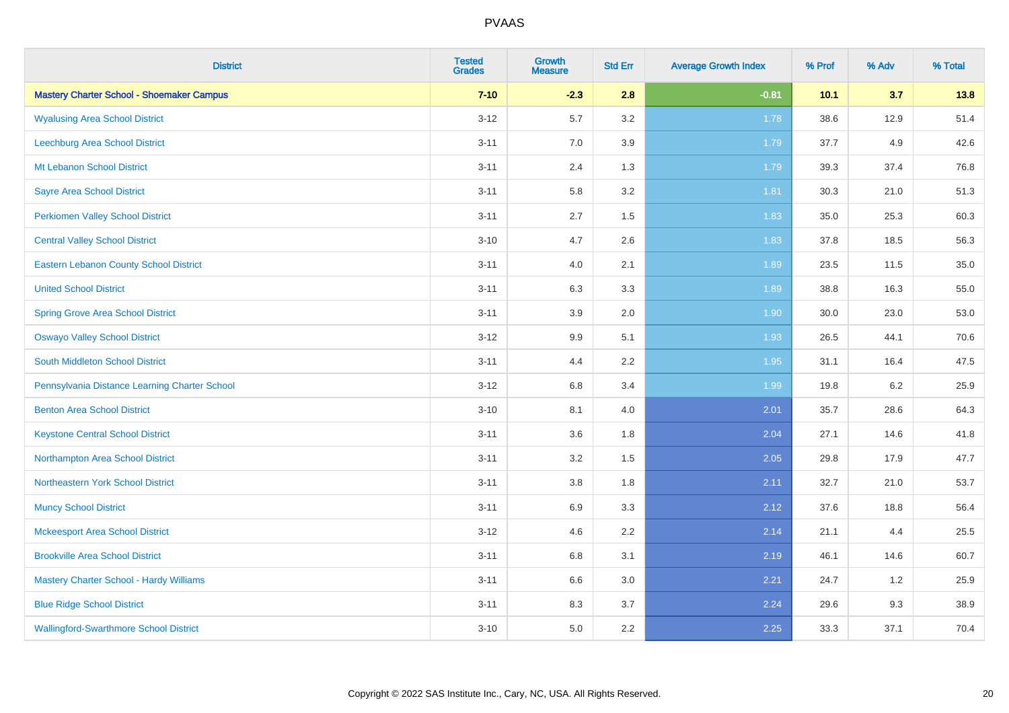| <b>District</b>                                  | <b>Tested</b><br><b>Grades</b> | Growth<br><b>Measure</b> | <b>Std Err</b> | <b>Average Growth Index</b> | % Prof | % Adv | % Total |
|--------------------------------------------------|--------------------------------|--------------------------|----------------|-----------------------------|--------|-------|---------|
| <b>Mastery Charter School - Shoemaker Campus</b> | $7 - 10$                       | $-2.3$                   | 2.8            | $-0.81$                     | 10.1   | 3.7   | 13.8    |
| <b>Wyalusing Area School District</b>            | $3 - 12$                       | 5.7                      | 3.2            | 1.78                        | 38.6   | 12.9  | 51.4    |
| <b>Leechburg Area School District</b>            | $3 - 11$                       | 7.0                      | 3.9            | 1.79                        | 37.7   | 4.9   | 42.6    |
| Mt Lebanon School District                       | $3 - 11$                       | 2.4                      | 1.3            | 1.79                        | 39.3   | 37.4  | 76.8    |
| <b>Sayre Area School District</b>                | $3 - 11$                       | 5.8                      | 3.2            | 1.81                        | 30.3   | 21.0  | 51.3    |
| <b>Perkiomen Valley School District</b>          | $3 - 11$                       | 2.7                      | 1.5            | 1.83                        | 35.0   | 25.3  | 60.3    |
| <b>Central Valley School District</b>            | $3 - 10$                       | 4.7                      | 2.6            | 1.83                        | 37.8   | 18.5  | 56.3    |
| <b>Eastern Lebanon County School District</b>    | $3 - 11$                       | 4.0                      | 2.1            | 1.89                        | 23.5   | 11.5  | 35.0    |
| <b>United School District</b>                    | $3 - 11$                       | 6.3                      | 3.3            | 1.89                        | 38.8   | 16.3  | 55.0    |
| <b>Spring Grove Area School District</b>         | $3 - 11$                       | 3.9                      | 2.0            | 1.90                        | 30.0   | 23.0  | 53.0    |
| <b>Oswayo Valley School District</b>             | $3 - 12$                       | 9.9                      | 5.1            | 1.93                        | 26.5   | 44.1  | 70.6    |
| South Middleton School District                  | $3 - 11$                       | 4.4                      | $2.2\,$        | 1.95                        | 31.1   | 16.4  | 47.5    |
| Pennsylvania Distance Learning Charter School    | $3 - 12$                       | $6.8\,$                  | 3.4            | 1.99                        | 19.8   | 6.2   | 25.9    |
| <b>Benton Area School District</b>               | $3 - 10$                       | 8.1                      | 4.0            | 2.01                        | 35.7   | 28.6  | 64.3    |
| <b>Keystone Central School District</b>          | $3 - 11$                       | 3.6                      | 1.8            | 2.04                        | 27.1   | 14.6  | 41.8    |
| Northampton Area School District                 | $3 - 11$                       | 3.2                      | 1.5            | 2.05                        | 29.8   | 17.9  | 47.7    |
| Northeastern York School District                | $3 - 11$                       | 3.8                      | 1.8            | 2.11                        | 32.7   | 21.0  | 53.7    |
| <b>Muncy School District</b>                     | $3 - 11$                       | 6.9                      | 3.3            | 2.12                        | 37.6   | 18.8  | 56.4    |
| <b>Mckeesport Area School District</b>           | $3 - 12$                       | 4.6                      | 2.2            | 2.14                        | 21.1   | 4.4   | 25.5    |
| <b>Brookville Area School District</b>           | $3 - 11$                       | $6.8\,$                  | 3.1            | 2.19                        | 46.1   | 14.6  | 60.7    |
| <b>Mastery Charter School - Hardy Williams</b>   | $3 - 11$                       | 6.6                      | 3.0            | 2.21                        | 24.7   | 1.2   | 25.9    |
| <b>Blue Ridge School District</b>                | $3 - 11$                       | 8.3                      | 3.7            | 2.24                        | 29.6   | 9.3   | 38.9    |
| <b>Wallingford-Swarthmore School District</b>    | $3 - 10$                       | 5.0                      | 2.2            | 2.25                        | 33.3   | 37.1  | 70.4    |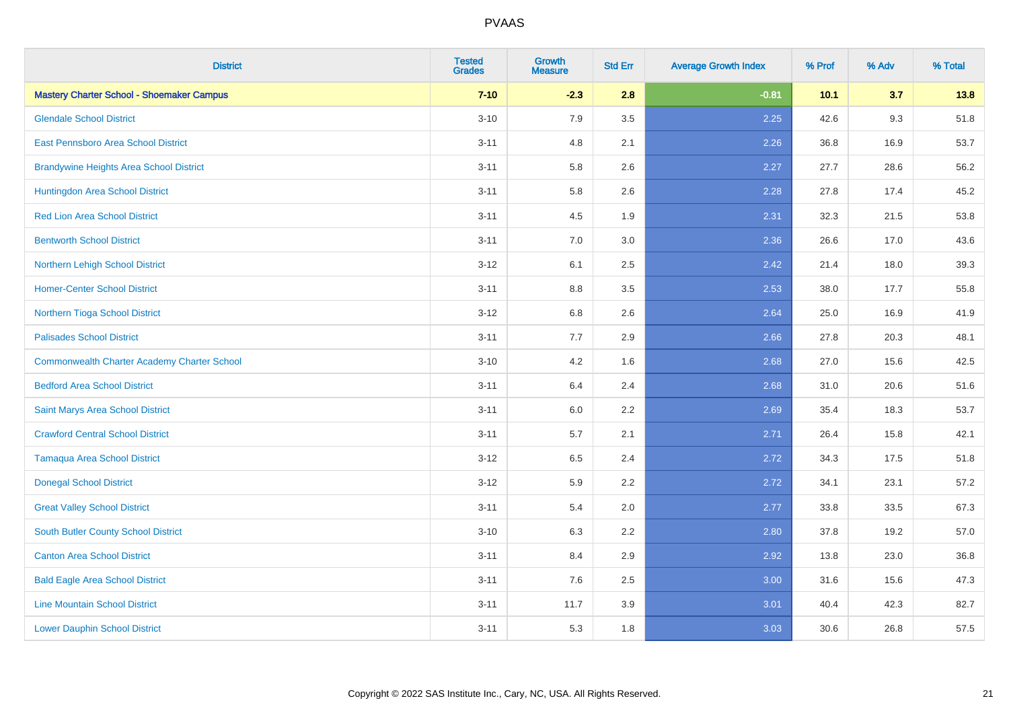| <b>District</b>                                    | <b>Tested</b><br><b>Grades</b> | <b>Growth</b><br><b>Measure</b> | <b>Std Err</b> | <b>Average Growth Index</b> | % Prof | % Adv | % Total |
|----------------------------------------------------|--------------------------------|---------------------------------|----------------|-----------------------------|--------|-------|---------|
| <b>Mastery Charter School - Shoemaker Campus</b>   | $7 - 10$                       | $-2.3$                          | 2.8            | $-0.81$                     | 10.1   | 3.7   | 13.8    |
| <b>Glendale School District</b>                    | $3 - 10$                       | 7.9                             | 3.5            | 2.25                        | 42.6   | 9.3   | 51.8    |
| East Pennsboro Area School District                | $3 - 11$                       | 4.8                             | 2.1            | 2.26                        | 36.8   | 16.9  | 53.7    |
| <b>Brandywine Heights Area School District</b>     | $3 - 11$                       | 5.8                             | 2.6            | 2.27                        | 27.7   | 28.6  | 56.2    |
| Huntingdon Area School District                    | $3 - 11$                       | 5.8                             | 2.6            | 2.28                        | 27.8   | 17.4  | 45.2    |
| <b>Red Lion Area School District</b>               | $3 - 11$                       | 4.5                             | 1.9            | 2.31                        | 32.3   | 21.5  | 53.8    |
| <b>Bentworth School District</b>                   | $3 - 11$                       | 7.0                             | 3.0            | 2.36                        | 26.6   | 17.0  | 43.6    |
| Northern Lehigh School District                    | $3 - 12$                       | 6.1                             | 2.5            | 2.42                        | 21.4   | 18.0  | 39.3    |
| <b>Homer-Center School District</b>                | $3 - 11$                       | 8.8                             | 3.5            | 2.53                        | 38.0   | 17.7  | 55.8    |
| Northern Tioga School District                     | $3-12$                         | 6.8                             | 2.6            | 2.64                        | 25.0   | 16.9  | 41.9    |
| <b>Palisades School District</b>                   | $3 - 11$                       | 7.7                             | 2.9            | 2.66                        | 27.8   | 20.3  | 48.1    |
| <b>Commonwealth Charter Academy Charter School</b> | $3 - 10$                       | 4.2                             | 1.6            | 2.68                        | 27.0   | 15.6  | 42.5    |
| <b>Bedford Area School District</b>                | $3 - 11$                       | $6.4\,$                         | 2.4            | 2.68                        | 31.0   | 20.6  | 51.6    |
| Saint Marys Area School District                   | $3 - 11$                       | 6.0                             | 2.2            | 2.69                        | 35.4   | 18.3  | 53.7    |
| <b>Crawford Central School District</b>            | $3 - 11$                       | 5.7                             | 2.1            | 2.71                        | 26.4   | 15.8  | 42.1    |
| <b>Tamaqua Area School District</b>                | $3 - 12$                       | 6.5                             | 2.4            | 2.72                        | 34.3   | 17.5  | 51.8    |
| <b>Donegal School District</b>                     | $3 - 12$                       | 5.9                             | 2.2            | 2.72                        | 34.1   | 23.1  | 57.2    |
| <b>Great Valley School District</b>                | $3 - 11$                       | 5.4                             | 2.0            | 2.77                        | 33.8   | 33.5  | 67.3    |
| <b>South Butler County School District</b>         | $3 - 10$                       | 6.3                             | 2.2            | 2.80                        | 37.8   | 19.2  | 57.0    |
| <b>Canton Area School District</b>                 | $3 - 11$                       | 8.4                             | 2.9            | 2.92                        | 13.8   | 23.0  | 36.8    |
| <b>Bald Eagle Area School District</b>             | $3 - 11$                       | 7.6                             | 2.5            | 3.00                        | 31.6   | 15.6  | 47.3    |
| <b>Line Mountain School District</b>               | $3 - 11$                       | 11.7                            | 3.9            | 3.01                        | 40.4   | 42.3  | 82.7    |
| <b>Lower Dauphin School District</b>               | $3 - 11$                       | 5.3                             | 1.8            | 3.03                        | 30.6   | 26.8  | 57.5    |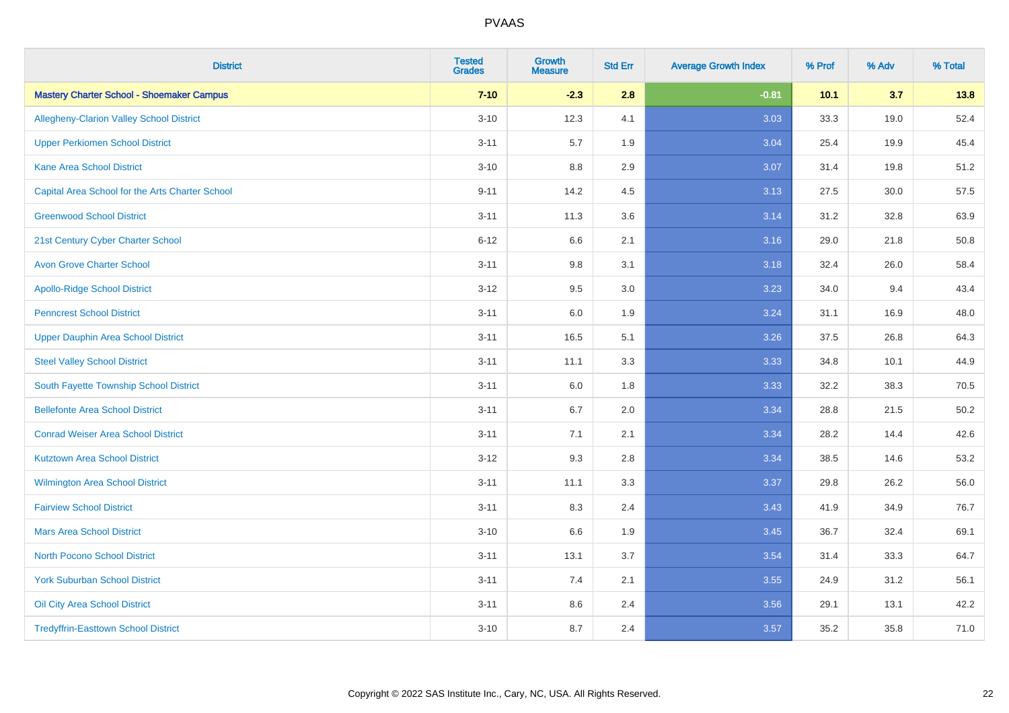| <b>District</b>                                  | <b>Tested</b><br><b>Grades</b> | <b>Growth</b><br><b>Measure</b> | <b>Std Err</b> | <b>Average Growth Index</b> | % Prof | % Adv | % Total |
|--------------------------------------------------|--------------------------------|---------------------------------|----------------|-----------------------------|--------|-------|---------|
| <b>Mastery Charter School - Shoemaker Campus</b> | $7 - 10$                       | $-2.3$                          | 2.8            | $-0.81$                     | 10.1   | 3.7   | 13.8    |
| Allegheny-Clarion Valley School District         | $3 - 10$                       | 12.3                            | 4.1            | 3.03                        | 33.3   | 19.0  | 52.4    |
| <b>Upper Perkiomen School District</b>           | $3 - 11$                       | 5.7                             | 1.9            | 3.04                        | 25.4   | 19.9  | 45.4    |
| <b>Kane Area School District</b>                 | $3 - 10$                       | 8.8                             | 2.9            | 3.07                        | 31.4   | 19.8  | 51.2    |
| Capital Area School for the Arts Charter School  | $9 - 11$                       | 14.2                            | 4.5            | 3.13                        | 27.5   | 30.0  | 57.5    |
| <b>Greenwood School District</b>                 | $3 - 11$                       | 11.3                            | 3.6            | 3.14                        | 31.2   | 32.8  | 63.9    |
| 21st Century Cyber Charter School                | $6 - 12$                       | 6.6                             | 2.1            | 3.16                        | 29.0   | 21.8  | 50.8    |
| <b>Avon Grove Charter School</b>                 | $3 - 11$                       | $9.8\,$                         | 3.1            | 3.18                        | 32.4   | 26.0  | 58.4    |
| <b>Apollo-Ridge School District</b>              | $3 - 12$                       | 9.5                             | 3.0            | 3.23                        | 34.0   | 9.4   | 43.4    |
| <b>Penncrest School District</b>                 | $3 - 11$                       | 6.0                             | 1.9            | 3.24                        | 31.1   | 16.9  | 48.0    |
| <b>Upper Dauphin Area School District</b>        | $3 - 11$                       | 16.5                            | 5.1            | 3.26                        | 37.5   | 26.8  | 64.3    |
| <b>Steel Valley School District</b>              | $3 - 11$                       | 11.1                            | 3.3            | 3.33                        | 34.8   | 10.1  | 44.9    |
| South Fayette Township School District           | $3 - 11$                       | 6.0                             | 1.8            | 3.33                        | 32.2   | 38.3  | 70.5    |
| <b>Bellefonte Area School District</b>           | $3 - 11$                       | 6.7                             | 2.0            | 3.34                        | 28.8   | 21.5  | 50.2    |
| <b>Conrad Weiser Area School District</b>        | $3 - 11$                       | 7.1                             | 2.1            | 3.34                        | 28.2   | 14.4  | 42.6    |
| <b>Kutztown Area School District</b>             | $3-12$                         | 9.3                             | 2.8            | 3.34                        | 38.5   | 14.6  | 53.2    |
| Wilmington Area School District                  | $3 - 11$                       | 11.1                            | 3.3            | 3.37                        | 29.8   | 26.2  | 56.0    |
| <b>Fairview School District</b>                  | $3 - 11$                       | 8.3                             | 2.4            | 3.43                        | 41.9   | 34.9  | 76.7    |
| <b>Mars Area School District</b>                 | $3 - 10$                       | 6.6                             | 1.9            | 3.45                        | 36.7   | 32.4  | 69.1    |
| <b>North Pocono School District</b>              | $3 - 11$                       | 13.1                            | 3.7            | 3.54                        | 31.4   | 33.3  | 64.7    |
| <b>York Suburban School District</b>             | $3 - 11$                       | 7.4                             | 2.1            | 3.55                        | 24.9   | 31.2  | 56.1    |
| <b>Oil City Area School District</b>             | $3 - 11$                       | 8.6                             | 2.4            | 3.56                        | 29.1   | 13.1  | 42.2    |
| <b>Tredyffrin-Easttown School District</b>       | $3 - 10$                       | 8.7                             | 2.4            | 3.57                        | 35.2   | 35.8  | 71.0    |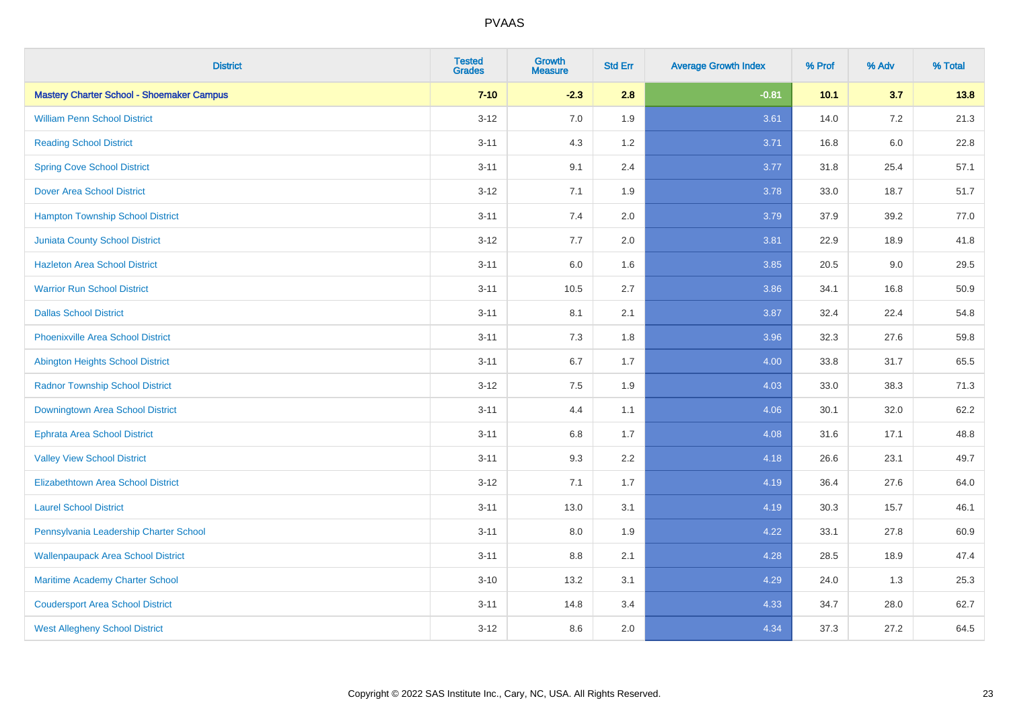| <b>District</b>                                  | <b>Tested</b><br><b>Grades</b> | <b>Growth</b><br><b>Measure</b> | <b>Std Err</b> | <b>Average Growth Index</b> | % Prof | % Adv | % Total |
|--------------------------------------------------|--------------------------------|---------------------------------|----------------|-----------------------------|--------|-------|---------|
| <b>Mastery Charter School - Shoemaker Campus</b> | $7 - 10$                       | $-2.3$                          | 2.8            | $-0.81$                     | 10.1   | 3.7   | 13.8    |
| <b>William Penn School District</b>              | $3 - 12$                       | 7.0                             | 1.9            | 3.61                        | 14.0   | 7.2   | 21.3    |
| <b>Reading School District</b>                   | $3 - 11$                       | 4.3                             | 1.2            | 3.71                        | 16.8   | 6.0   | 22.8    |
| <b>Spring Cove School District</b>               | $3 - 11$                       | 9.1                             | 2.4            | 3.77                        | 31.8   | 25.4  | 57.1    |
| <b>Dover Area School District</b>                | $3 - 12$                       | 7.1                             | 1.9            | 3.78                        | 33.0   | 18.7  | 51.7    |
| <b>Hampton Township School District</b>          | $3 - 11$                       | 7.4                             | 2.0            | 3.79                        | 37.9   | 39.2  | 77.0    |
| <b>Juniata County School District</b>            | $3 - 12$                       | $7.7\,$                         | 2.0            | 3.81                        | 22.9   | 18.9  | 41.8    |
| <b>Hazleton Area School District</b>             | $3 - 11$                       | 6.0                             | 1.6            | 3.85                        | 20.5   | 9.0   | 29.5    |
| <b>Warrior Run School District</b>               | $3 - 11$                       | 10.5                            | 2.7            | 3.86                        | 34.1   | 16.8  | 50.9    |
| <b>Dallas School District</b>                    | $3 - 11$                       | 8.1                             | 2.1            | 3.87                        | 32.4   | 22.4  | 54.8    |
| <b>Phoenixville Area School District</b>         | $3 - 11$                       | 7.3                             | 1.8            | 3.96                        | 32.3   | 27.6  | 59.8    |
| Abington Heights School District                 | $3 - 11$                       | 6.7                             | 1.7            | 4.00                        | 33.8   | 31.7  | 65.5    |
| <b>Radnor Township School District</b>           | $3 - 12$                       | 7.5                             | 1.9            | 4.03                        | 33.0   | 38.3  | 71.3    |
| Downingtown Area School District                 | $3 - 11$                       | 4.4                             | 1.1            | 4.06                        | 30.1   | 32.0  | 62.2    |
| <b>Ephrata Area School District</b>              | $3 - 11$                       | 6.8                             | 1.7            | 4.08                        | 31.6   | 17.1  | 48.8    |
| <b>Valley View School District</b>               | $3 - 11$                       | 9.3                             | 2.2            | 4.18                        | 26.6   | 23.1  | 49.7    |
| <b>Elizabethtown Area School District</b>        | $3 - 12$                       | 7.1                             | 1.7            | 4.19                        | 36.4   | 27.6  | 64.0    |
| <b>Laurel School District</b>                    | $3 - 11$                       | 13.0                            | 3.1            | 4.19                        | 30.3   | 15.7  | 46.1    |
| Pennsylvania Leadership Charter School           | $3 - 11$                       | $8.0\,$                         | 1.9            | 4.22                        | 33.1   | 27.8  | 60.9    |
| <b>Wallenpaupack Area School District</b>        | $3 - 11$                       | 8.8                             | 2.1            | 4.28                        | 28.5   | 18.9  | 47.4    |
| Maritime Academy Charter School                  | $3 - 10$                       | 13.2                            | 3.1            | 4.29                        | 24.0   | 1.3   | 25.3    |
| <b>Coudersport Area School District</b>          | $3 - 11$                       | 14.8                            | 3.4            | 4.33                        | 34.7   | 28.0  | 62.7    |
| <b>West Allegheny School District</b>            | $3 - 12$                       | 8.6                             | 2.0            | 4.34                        | 37.3   | 27.2  | 64.5    |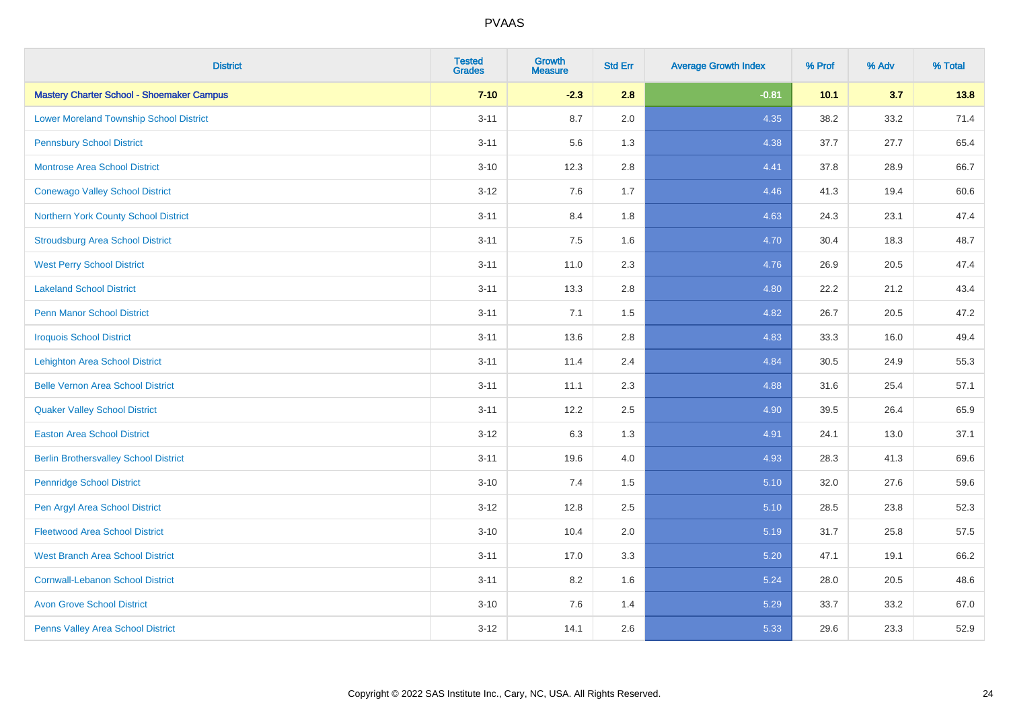| <b>District</b>                                  | <b>Tested</b><br><b>Grades</b> | <b>Growth</b><br><b>Measure</b> | <b>Std Err</b> | <b>Average Growth Index</b> | % Prof | % Adv | % Total |
|--------------------------------------------------|--------------------------------|---------------------------------|----------------|-----------------------------|--------|-------|---------|
| <b>Mastery Charter School - Shoemaker Campus</b> | $7 - 10$                       | $-2.3$                          | 2.8            | $-0.81$                     | 10.1   | 3.7   | 13.8    |
| <b>Lower Moreland Township School District</b>   | $3 - 11$                       | 8.7                             | 2.0            | 4.35                        | 38.2   | 33.2  | 71.4    |
| <b>Pennsbury School District</b>                 | $3 - 11$                       | 5.6                             | 1.3            | 4.38                        | 37.7   | 27.7  | 65.4    |
| <b>Montrose Area School District</b>             | $3 - 10$                       | 12.3                            | 2.8            | 4.41                        | 37.8   | 28.9  | 66.7    |
| <b>Conewago Valley School District</b>           | $3 - 12$                       | 7.6                             | 1.7            | 4.46                        | 41.3   | 19.4  | 60.6    |
| Northern York County School District             | $3 - 11$                       | 8.4                             | 1.8            | 4.63                        | 24.3   | 23.1  | 47.4    |
| <b>Stroudsburg Area School District</b>          | $3 - 11$                       | 7.5                             | 1.6            | 4.70                        | 30.4   | 18.3  | 48.7    |
| <b>West Perry School District</b>                | $3 - 11$                       | 11.0                            | 2.3            | 4.76                        | 26.9   | 20.5  | 47.4    |
| <b>Lakeland School District</b>                  | $3 - 11$                       | 13.3                            | 2.8            | 4.80                        | 22.2   | 21.2  | 43.4    |
| <b>Penn Manor School District</b>                | $3 - 11$                       | 7.1                             | 1.5            | 4.82                        | 26.7   | 20.5  | 47.2    |
| <b>Iroquois School District</b>                  | $3 - 11$                       | 13.6                            | 2.8            | 4.83                        | 33.3   | 16.0  | 49.4    |
| <b>Lehighton Area School District</b>            | $3 - 11$                       | 11.4                            | 2.4            | 4.84                        | 30.5   | 24.9  | 55.3    |
| <b>Belle Vernon Area School District</b>         | $3 - 11$                       | 11.1                            | 2.3            | 4.88                        | 31.6   | 25.4  | 57.1    |
| <b>Quaker Valley School District</b>             | $3 - 11$                       | 12.2                            | 2.5            | 4.90                        | 39.5   | 26.4  | 65.9    |
| <b>Easton Area School District</b>               | $3-12$                         | 6.3                             | 1.3            | 4.91                        | 24.1   | 13.0  | 37.1    |
| <b>Berlin Brothersvalley School District</b>     | $3 - 11$                       | 19.6                            | 4.0            | 4.93                        | 28.3   | 41.3  | 69.6    |
| <b>Pennridge School District</b>                 | $3 - 10$                       | 7.4                             | 1.5            | 5.10                        | 32.0   | 27.6  | 59.6    |
| Pen Argyl Area School District                   | $3 - 12$                       | 12.8                            | 2.5            | 5.10                        | 28.5   | 23.8  | 52.3    |
| <b>Fleetwood Area School District</b>            | $3 - 10$                       | 10.4                            | 2.0            | 5.19                        | 31.7   | 25.8  | 57.5    |
| <b>West Branch Area School District</b>          | $3 - 11$                       | 17.0                            | 3.3            | 5.20                        | 47.1   | 19.1  | 66.2    |
| <b>Cornwall-Lebanon School District</b>          | $3 - 11$                       | 8.2                             | 1.6            | 5.24                        | 28.0   | 20.5  | 48.6    |
| <b>Avon Grove School District</b>                | $3 - 10$                       | 7.6                             | 1.4            | 5.29                        | 33.7   | 33.2  | 67.0    |
| Penns Valley Area School District                | $3-12$                         | 14.1                            | 2.6            | 5.33                        | 29.6   | 23.3  | 52.9    |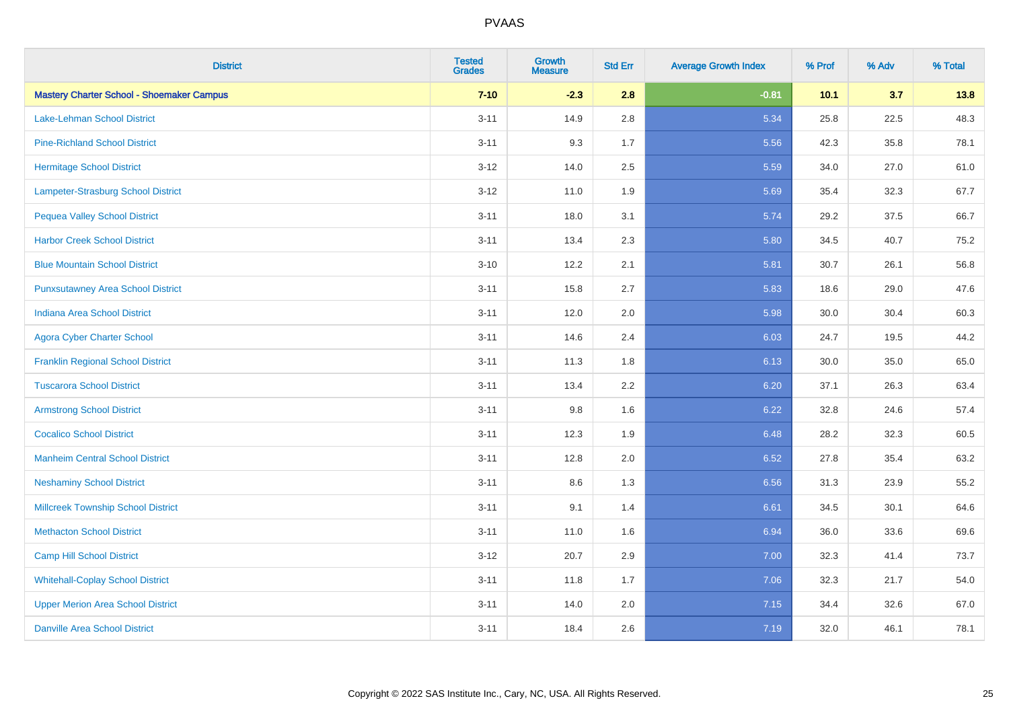| <b>District</b>                                  | <b>Tested</b><br><b>Grades</b> | <b>Growth</b><br><b>Measure</b> | <b>Std Err</b> | <b>Average Growth Index</b> | % Prof | % Adv | % Total |
|--------------------------------------------------|--------------------------------|---------------------------------|----------------|-----------------------------|--------|-------|---------|
| <b>Mastery Charter School - Shoemaker Campus</b> | $7 - 10$                       | $-2.3$                          | 2.8            | $-0.81$                     | 10.1   | 3.7   | 13.8    |
| Lake-Lehman School District                      | $3 - 11$                       | 14.9                            | 2.8            | 5.34                        | 25.8   | 22.5  | 48.3    |
| <b>Pine-Richland School District</b>             | $3 - 11$                       | 9.3                             | 1.7            | 5.56                        | 42.3   | 35.8  | 78.1    |
| <b>Hermitage School District</b>                 | $3 - 12$                       | 14.0                            | 2.5            | 5.59                        | 34.0   | 27.0  | 61.0    |
| <b>Lampeter-Strasburg School District</b>        | $3-12$                         | 11.0                            | 1.9            | 5.69                        | 35.4   | 32.3  | 67.7    |
| <b>Pequea Valley School District</b>             | $3 - 11$                       | 18.0                            | 3.1            | 5.74                        | 29.2   | 37.5  | 66.7    |
| <b>Harbor Creek School District</b>              | $3 - 11$                       | 13.4                            | 2.3            | 5.80                        | 34.5   | 40.7  | 75.2    |
| <b>Blue Mountain School District</b>             | $3 - 10$                       | 12.2                            | 2.1            | 5.81                        | 30.7   | 26.1  | 56.8    |
| <b>Punxsutawney Area School District</b>         | $3 - 11$                       | 15.8                            | 2.7            | 5.83                        | 18.6   | 29.0  | 47.6    |
| <b>Indiana Area School District</b>              | $3 - 11$                       | 12.0                            | 2.0            | 5.98                        | 30.0   | 30.4  | 60.3    |
| <b>Agora Cyber Charter School</b>                | $3 - 11$                       | 14.6                            | 2.4            | 6.03                        | 24.7   | 19.5  | 44.2    |
| <b>Franklin Regional School District</b>         | $3 - 11$                       | 11.3                            | 1.8            | 6.13                        | 30.0   | 35.0  | 65.0    |
| <b>Tuscarora School District</b>                 | $3 - 11$                       | 13.4                            | 2.2            | 6.20                        | 37.1   | 26.3  | 63.4    |
| <b>Armstrong School District</b>                 | $3 - 11$                       | 9.8                             | 1.6            | 6.22                        | 32.8   | 24.6  | 57.4    |
| <b>Cocalico School District</b>                  | $3 - 11$                       | 12.3                            | 1.9            | 6.48                        | 28.2   | 32.3  | 60.5    |
| <b>Manheim Central School District</b>           | $3 - 11$                       | 12.8                            | 2.0            | 6.52                        | 27.8   | 35.4  | 63.2    |
| <b>Neshaminy School District</b>                 | $3 - 11$                       | 8.6                             | 1.3            | 6.56                        | 31.3   | 23.9  | 55.2    |
| <b>Millcreek Township School District</b>        | $3 - 11$                       | 9.1                             | 1.4            | 6.61                        | 34.5   | 30.1  | 64.6    |
| <b>Methacton School District</b>                 | $3 - 11$                       | 11.0                            | 1.6            | 6.94                        | 36.0   | 33.6  | 69.6    |
| <b>Camp Hill School District</b>                 | $3 - 12$                       | 20.7                            | 2.9            | 7.00                        | 32.3   | 41.4  | 73.7    |
| <b>Whitehall-Coplay School District</b>          | $3 - 11$                       | 11.8                            | 1.7            | 7.06                        | 32.3   | 21.7  | 54.0    |
| <b>Upper Merion Area School District</b>         | $3 - 11$                       | 14.0                            | 2.0            | 7.15                        | 34.4   | 32.6  | 67.0    |
| <b>Danville Area School District</b>             | $3 - 11$                       | 18.4                            | 2.6            | 7.19                        | 32.0   | 46.1  | 78.1    |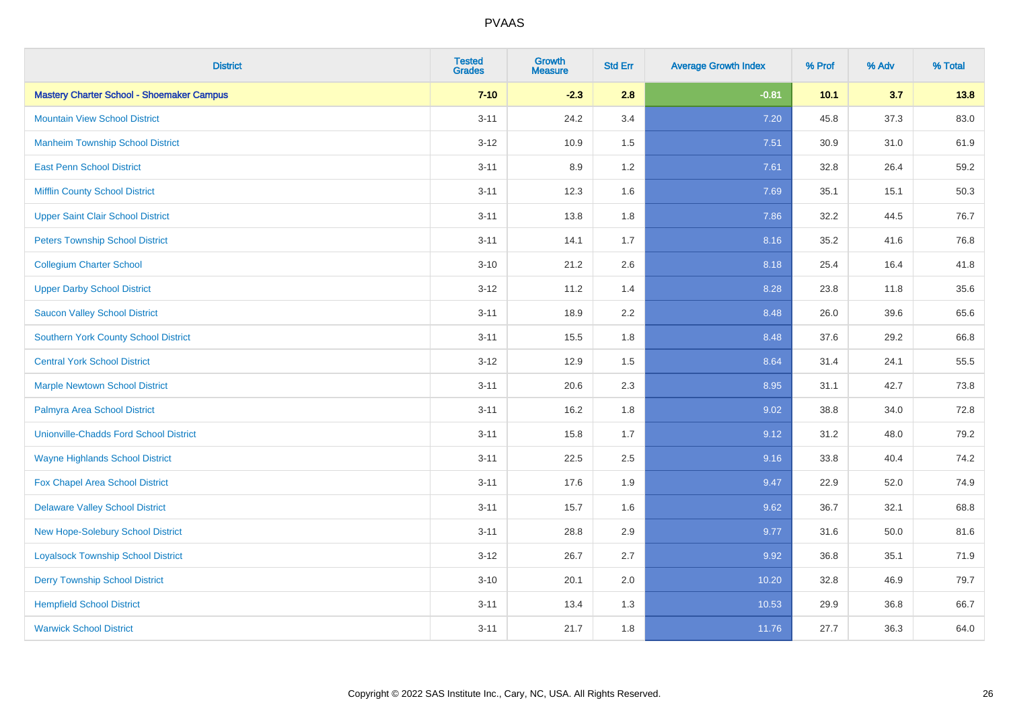| <b>District</b>                                  | <b>Tested</b><br><b>Grades</b> | <b>Growth</b><br><b>Measure</b> | <b>Std Err</b> | <b>Average Growth Index</b> | % Prof | % Adv | % Total |
|--------------------------------------------------|--------------------------------|---------------------------------|----------------|-----------------------------|--------|-------|---------|
| <b>Mastery Charter School - Shoemaker Campus</b> | $7 - 10$                       | $-2.3$                          | 2.8            | $-0.81$                     | 10.1   | 3.7   | 13.8    |
| <b>Mountain View School District</b>             | $3 - 11$                       | 24.2                            | 3.4            | 7.20                        | 45.8   | 37.3  | 83.0    |
| <b>Manheim Township School District</b>          | $3 - 12$                       | 10.9                            | 1.5            | 7.51                        | 30.9   | 31.0  | 61.9    |
| <b>East Penn School District</b>                 | $3 - 11$                       | 8.9                             | 1.2            | 7.61                        | 32.8   | 26.4  | 59.2    |
| <b>Mifflin County School District</b>            | $3 - 11$                       | 12.3                            | 1.6            | 7.69                        | 35.1   | 15.1  | 50.3    |
| <b>Upper Saint Clair School District</b>         | $3 - 11$                       | 13.8                            | 1.8            | 7.86                        | 32.2   | 44.5  | 76.7    |
| <b>Peters Township School District</b>           | $3 - 11$                       | 14.1                            | 1.7            | 8.16                        | 35.2   | 41.6  | 76.8    |
| <b>Collegium Charter School</b>                  | $3 - 10$                       | 21.2                            | 2.6            | 8.18                        | 25.4   | 16.4  | 41.8    |
| <b>Upper Darby School District</b>               | $3 - 12$                       | 11.2                            | 1.4            | 8.28                        | 23.8   | 11.8  | 35.6    |
| <b>Saucon Valley School District</b>             | $3 - 11$                       | 18.9                            | 2.2            | 8.48                        | 26.0   | 39.6  | 65.6    |
| <b>Southern York County School District</b>      | $3 - 11$                       | 15.5                            | 1.8            | 8.48                        | 37.6   | 29.2  | 66.8    |
| <b>Central York School District</b>              | $3 - 12$                       | 12.9                            | 1.5            | 8.64                        | 31.4   | 24.1  | 55.5    |
| <b>Marple Newtown School District</b>            | $3 - 11$                       | 20.6                            | 2.3            | 8.95                        | 31.1   | 42.7  | 73.8    |
| Palmyra Area School District                     | $3 - 11$                       | 16.2                            | 1.8            | 9.02                        | 38.8   | 34.0  | 72.8    |
| <b>Unionville-Chadds Ford School District</b>    | $3 - 11$                       | 15.8                            | 1.7            | 9.12                        | 31.2   | 48.0  | 79.2    |
| <b>Wayne Highlands School District</b>           | $3 - 11$                       | 22.5                            | 2.5            | 9.16                        | 33.8   | 40.4  | 74.2    |
| Fox Chapel Area School District                  | $3 - 11$                       | 17.6                            | 1.9            | 9.47                        | 22.9   | 52.0  | 74.9    |
| <b>Delaware Valley School District</b>           | $3 - 11$                       | 15.7                            | 1.6            | 9.62                        | 36.7   | 32.1  | 68.8    |
| New Hope-Solebury School District                | $3 - 11$                       | 28.8                            | 2.9            | 9.77                        | 31.6   | 50.0  | 81.6    |
| <b>Loyalsock Township School District</b>        | $3 - 12$                       | 26.7                            | 2.7            | 9.92                        | 36.8   | 35.1  | 71.9    |
| <b>Derry Township School District</b>            | $3 - 10$                       | 20.1                            | 2.0            | 10.20                       | 32.8   | 46.9  | 79.7    |
| <b>Hempfield School District</b>                 | $3 - 11$                       | 13.4                            | 1.3            | 10.53                       | 29.9   | 36.8  | 66.7    |
| <b>Warwick School District</b>                   | $3 - 11$                       | 21.7                            | 1.8            | 11.76                       | 27.7   | 36.3  | 64.0    |